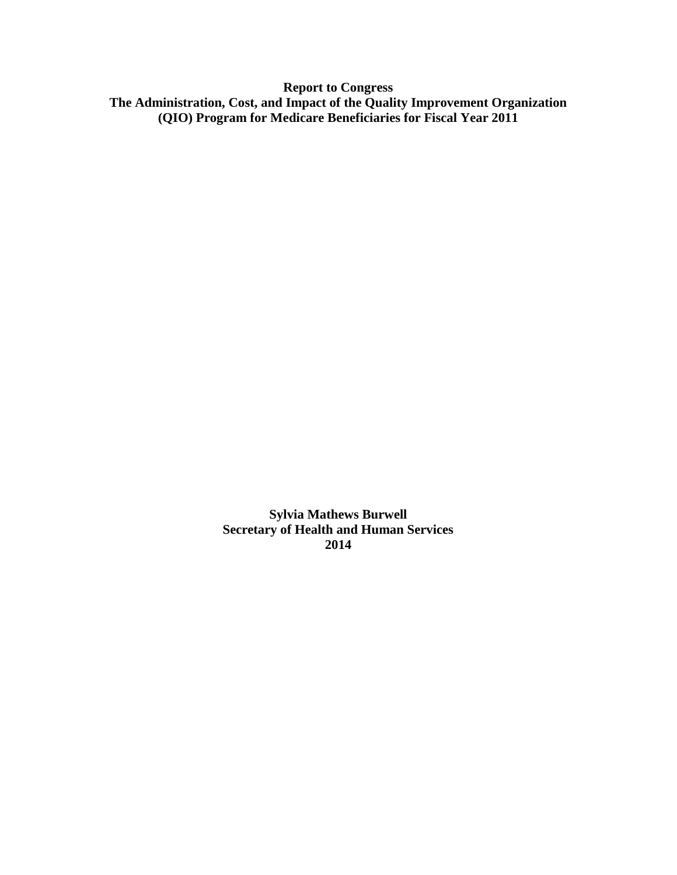**Report to Congress The Administration, Cost, and Impact of the Quality Improvement Organization (QIO) Program for Medicare Beneficiaries for Fiscal Year 2011**

> **Sylvia Mathews Burwell Secretary of Health and Human Services 2014**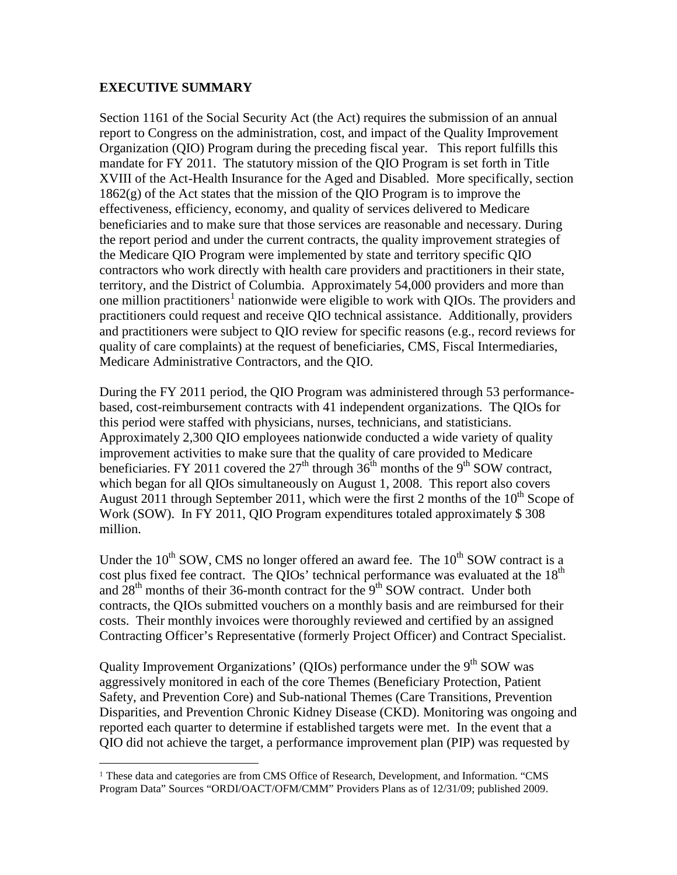#### **EXECUTIVE SUMMARY**

 $\overline{a}$ 

Section 1161 of the Social Security Act (the Act) requires the submission of an annual report to Congress on the administration, cost, and impact of the Quality Improvement Organization (QIO) Program during the preceding fiscal year. This report fulfills this mandate for FY 2011. The statutory mission of the QIO Program is set forth in Title XVIII of the Act-Health Insurance for the Aged and Disabled. More specifically, section 1862(g) of the Act states that the mission of the QIO Program is to improve the effectiveness, efficiency, economy, and quality of services delivered to Medicare beneficiaries and to make sure that those services are reasonable and necessary. During the report period and under the current contracts, the quality improvement strategies of the Medicare QIO Program were implemented by state and territory specific QIO contractors who work directly with health care providers and practitioners in their state, territory, and the District of Columbia. Approximately 54,000 providers and more than one million practitioners<sup>[1](#page-1-0)</sup> nationwide were eligible to work with QIOs. The providers and practitioners could request and receive QIO technical assistance. Additionally, providers and practitioners were subject to QIO review for specific reasons (e.g., record reviews for quality of care complaints) at the request of beneficiaries, CMS, Fiscal Intermediaries, Medicare Administrative Contractors, and the QIO.

During the FY 2011 period, the QIO Program was administered through 53 performancebased, cost-reimbursement contracts with 41 independent organizations. The QIOs for this period were staffed with physicians, nurses, technicians, and statisticians. Approximately 2,300 QIO employees nationwide conducted a wide variety of quality improvement activities to make sure that the quality of care provided to Medicare beneficiaries. FY 2011 covered the  $27<sup>th</sup>$  through  $36<sup>th</sup>$  months of the 9<sup>th</sup> SOW contract, which began for all QIOs simultaneously on August 1, 2008. This report also covers August 2011 through September 2011, which were the first 2 months of the  $10^{th}$  Scope of Work (SOW). In FY 2011, QIO Program expenditures totaled approximately \$ 308 million.

Under the  $10^{th}$  SOW, CMS no longer offered an award fee. The  $10^{th}$  SOW contract is a cost plus fixed fee contract. The QIOs' technical performance was evaluated at the  $18<sup>th</sup>$ and  $28<sup>th</sup>$  months of their 36-month contract for the  $9<sup>th</sup>$  SOW contract. Under both contracts, the QIOs submitted vouchers on a monthly basis and are reimbursed for their costs. Their monthly invoices were thoroughly reviewed and certified by an assigned Contracting Officer's Representative (formerly Project Officer) and Contract Specialist.

Quality Improvement Organizations' (QIOs) performance under the 9<sup>th</sup> SOW was aggressively monitored in each of the core Themes (Beneficiary Protection, Patient Safety, and Prevention Core) and Sub-national Themes (Care Transitions, Prevention Disparities, and Prevention Chronic Kidney Disease (CKD). Monitoring was ongoing and reported each quarter to determine if established targets were met. In the event that a QIO did not achieve the target, a performance improvement plan (PIP) was requested by

<span id="page-1-0"></span><sup>1</sup> These data and categories are from CMS Office of Research, Development, and Information. "CMS Program Data" Sources "ORDI/OACT/OFM/CMM" Providers Plans as of 12/31/09; published 2009.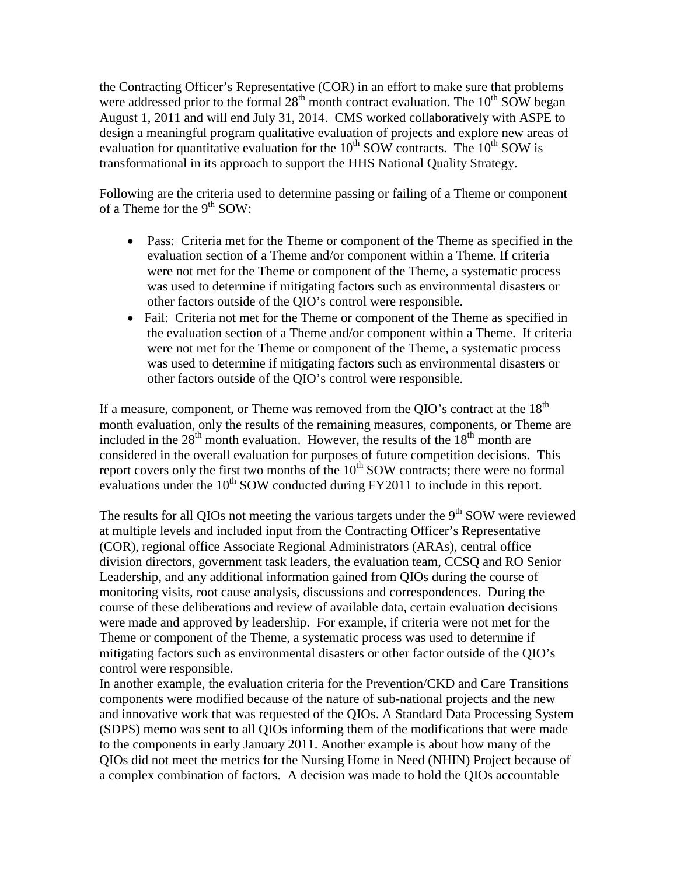the Contracting Officer's Representative (COR) in an effort to make sure that problems were addressed prior to the formal  $28<sup>th</sup>$  month contract evaluation. The  $10<sup>th</sup>$  SOW began August 1, 2011 and will end July 31, 2014. CMS worked collaboratively with ASPE to design a meaningful program qualitative evaluation of projects and explore new areas of evaluation for quantitative evaluation for the  $10^{th}$  SOW contracts. The  $10^{th}$  SOW is transformational in its approach to support the HHS National Quality Strategy.

Following are the criteria used to determine passing or failing of a Theme or component of a Theme for the  $9<sup>th</sup>$  SOW:

- Pass: Criteria met for the Theme or component of the Theme as specified in the evaluation section of a Theme and/or component within a Theme. If criteria were not met for the Theme or component of the Theme, a systematic process was used to determine if mitigating factors such as environmental disasters or other factors outside of the QIO's control were responsible.
- Fail: Criteria not met for the Theme or component of the Theme as specified in the evaluation section of a Theme and/or component within a Theme. If criteria were not met for the Theme or component of the Theme, a systematic process was used to determine if mitigating factors such as environmental disasters or other factors outside of the QIO's control were responsible.

If a measure, component, or Theme was removed from the QIO's contract at the  $18<sup>th</sup>$ month evaluation, only the results of the remaining measures, components, or Theme are included in the  $28<sup>th</sup>$  month evaluation. However, the results of the  $18<sup>th</sup>$  month are considered in the overall evaluation for purposes of future competition decisions. This report covers only the first two months of the  $10<sup>th</sup>$  SOW contracts; there were no formal evaluations under the  $10^{th}$  SOW conducted during FY2011 to include in this report.

The results for all QIOs not meeting the various targets under the  $9<sup>th</sup>$  SOW were reviewed at multiple levels and included input from the Contracting Officer's Representative (COR), regional office Associate Regional Administrators (ARAs), central office division directors, government task leaders, the evaluation team, CCSQ and RO Senior Leadership, and any additional information gained from QIOs during the course of monitoring visits, root cause analysis, discussions and correspondences. During the course of these deliberations and review of available data, certain evaluation decisions were made and approved by leadership. For example, if criteria were not met for the Theme or component of the Theme, a systematic process was used to determine if mitigating factors such as environmental disasters or other factor outside of the QIO's control were responsible.

In another example, the evaluation criteria for the Prevention/CKD and Care Transitions components were modified because of the nature of sub-national projects and the new and innovative work that was requested of the QIOs. A Standard Data Processing System (SDPS) memo was sent to all QIOs informing them of the modifications that were made to the components in early January 2011. Another example is about how many of the QIOs did not meet the metrics for the Nursing Home in Need (NHIN) Project because of a complex combination of factors. A decision was made to hold the QIOs accountable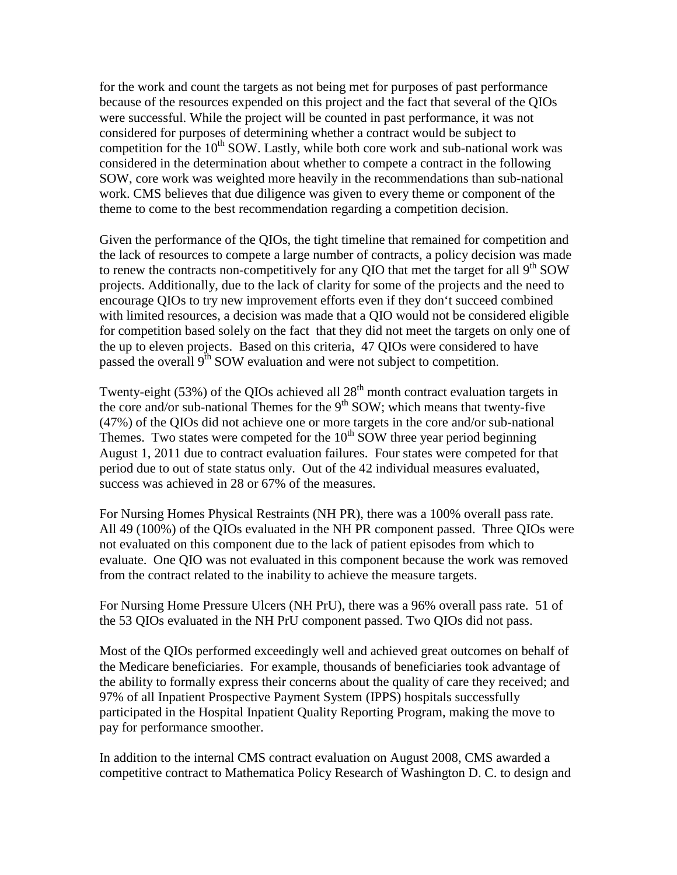for the work and count the targets as not being met for purposes of past performance because of the resources expended on this project and the fact that several of the QIOs were successful. While the project will be counted in past performance, it was not considered for purposes of determining whether a contract would be subject to competition for the  $10^{th}$  SOW. Lastly, while both core work and sub-national work was considered in the determination about whether to compete a contract in the following SOW, core work was weighted more heavily in the recommendations than sub-national work. CMS believes that due diligence was given to every theme or component of the theme to come to the best recommendation regarding a competition decision.

Given the performance of the QIOs, the tight timeline that remained for competition and the lack of resources to compete a large number of contracts, a policy decision was made to renew the contracts non-competitively for any QIO that met the target for all  $9<sup>th</sup>$  SOW projects. Additionally, due to the lack of clarity for some of the projects and the need to encourage QIOs to try new improvement efforts even if they don't succeed combined with limited resources, a decision was made that a QIO would not be considered eligible for competition based solely on the fact that they did not meet the targets on only one of the up to eleven projects. Based on this criteria, 47 QIOs were considered to have passed the overall 9<sup>th</sup> SOW evaluation and were not subject to competition.

Twenty-eight (53%) of the QIOs achieved all  $28<sup>th</sup>$  month contract evaluation targets in the core and/or sub-national Themes for the  $9<sup>th</sup>$  SOW; which means that twenty-five (47%) of the QIOs did not achieve one or more targets in the core and/or sub-national Themes. Two states were competed for the  $10<sup>th</sup>$  SOW three year period beginning August 1, 2011 due to contract evaluation failures. Four states were competed for that period due to out of state status only. Out of the 42 individual measures evaluated, success was achieved in 28 or 67% of the measures.

For Nursing Homes Physical Restraints (NH PR), there was a 100% overall pass rate. All 49 (100%) of the QIOs evaluated in the NH PR component passed. Three QIOs were not evaluated on this component due to the lack of patient episodes from which to evaluate. One QIO was not evaluated in this component because the work was removed from the contract related to the inability to achieve the measure targets.

For Nursing Home Pressure Ulcers (NH PrU), there was a 96% overall pass rate. 51 of the 53 QIOs evaluated in the NH PrU component passed. Two QIOs did not pass.

Most of the QIOs performed exceedingly well and achieved great outcomes on behalf of the Medicare beneficiaries. For example, thousands of beneficiaries took advantage of the ability to formally express their concerns about the quality of care they received; and 97% of all Inpatient Prospective Payment System (IPPS) hospitals successfully participated in the Hospital Inpatient Quality Reporting Program, making the move to pay for performance smoother.

In addition to the internal CMS contract evaluation on August 2008, CMS awarded a competitive contract to Mathematica Policy Research of Washington D. C. to design and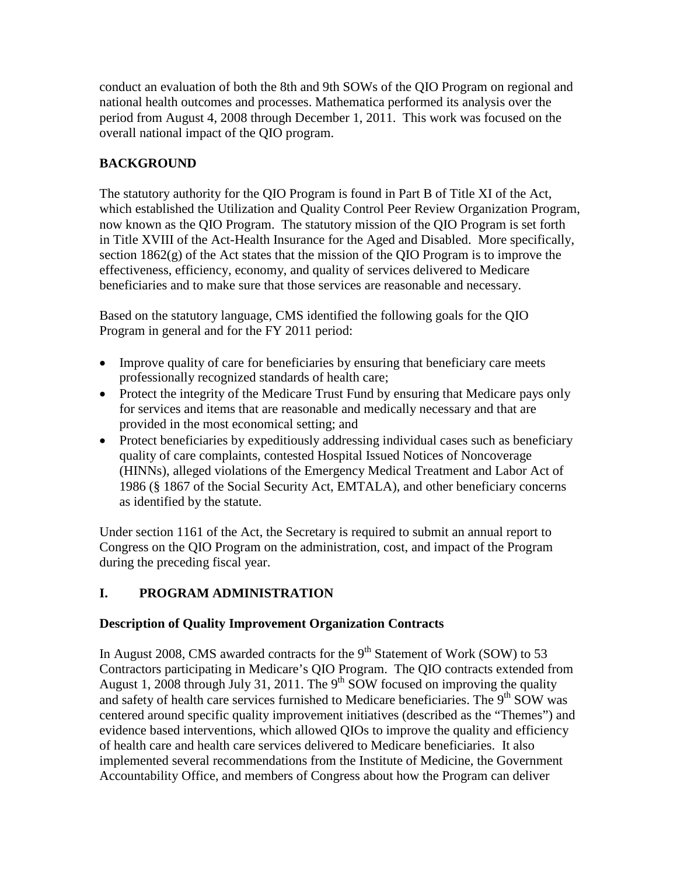conduct an evaluation of both the 8th and 9th SOWs of the QIO Program on regional and national health outcomes and processes. Mathematica performed its analysis over the period from August 4, 2008 through December 1, 2011. This work was focused on the overall national impact of the QIO program.

# **BACKGROUND**

The statutory authority for the QIO Program is found in Part B of Title XI of the Act, which established the Utilization and Quality Control Peer Review Organization Program, now known as the QIO Program. The statutory mission of the QIO Program is set forth in Title XVIII of the Act-Health Insurance for the Aged and Disabled. More specifically, section 1862(g) of the Act states that the mission of the QIO Program is to improve the effectiveness, efficiency, economy, and quality of services delivered to Medicare beneficiaries and to make sure that those services are reasonable and necessary.

Based on the statutory language, CMS identified the following goals for the QIO Program in general and for the FY 2011 period:

- Improve quality of care for beneficiaries by ensuring that beneficiary care meets professionally recognized standards of health care;
- Protect the integrity of the Medicare Trust Fund by ensuring that Medicare pays only for services and items that are reasonable and medically necessary and that are provided in the most economical setting; and
- Protect beneficiaries by expeditiously addressing individual cases such as beneficiary quality of care complaints, contested Hospital Issued Notices of Noncoverage (HINNs), alleged violations of the Emergency Medical Treatment and Labor Act of 1986 (§ 1867 of the Social Security Act, EMTALA), and other beneficiary concerns as identified by the statute.

Under section 1161 of the Act, the Secretary is required to submit an annual report to Congress on the QIO Program on the administration, cost, and impact of the Program during the preceding fiscal year.

# **I. PROGRAM ADMINISTRATION**

## **Description of Quality Improvement Organization Contracts**

In August 2008, CMS awarded contracts for the  $9<sup>th</sup>$  Statement of Work (SOW) to 53 Contractors participating in Medicare's QIO Program. The QIO contracts extended from August 1, 2008 through July 31, 2011. The  $9<sup>th</sup>$  SOW focused on improving the quality and safety of health care services furnished to Medicare beneficiaries. The  $9<sup>th</sup>$  SOW was centered around specific quality improvement initiatives (described as the "Themes") and evidence based interventions, which allowed QIOs to improve the quality and efficiency of health care and health care services delivered to Medicare beneficiaries. It also implemented several recommendations from the Institute of Medicine, the Government Accountability Office, and members of Congress about how the Program can deliver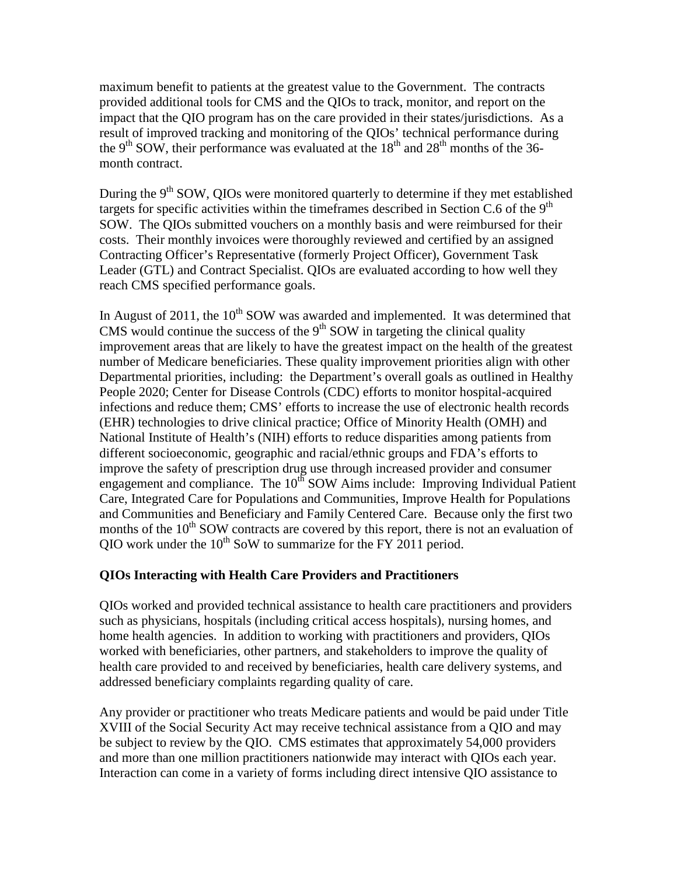maximum benefit to patients at the greatest value to the Government. The contracts provided additional tools for CMS and the QIOs to track, monitor, and report on the impact that the QIO program has on the care provided in their states/jurisdictions. As a result of improved tracking and monitoring of the QIOs' technical performance during the 9<sup>th</sup> SOW, their performance was evaluated at the  $18<sup>th</sup>$  and  $28<sup>th</sup>$  months of the 36month contract.

During the 9<sup>th</sup> SOW, QIOs were monitored quarterly to determine if they met established targets for specific activities within the timeframes described in Section C.6 of the  $9<sup>th</sup>$ SOW. The QIOs submitted vouchers on a monthly basis and were reimbursed for their costs. Their monthly invoices were thoroughly reviewed and certified by an assigned Contracting Officer's Representative (formerly Project Officer), Government Task Leader (GTL) and Contract Specialist. QIOs are evaluated according to how well they reach CMS specified performance goals.

In August of 2011, the  $10<sup>th</sup>$  SOW was awarded and implemented. It was determined that CMS would continue the success of the  $9<sup>th</sup>$  SOW in targeting the clinical quality improvement areas that are likely to have the greatest impact on the health of the greatest number of Medicare beneficiaries. These quality improvement priorities align with other Departmental priorities, including: the Department's overall goals as outlined in Healthy People 2020; Center for Disease Controls (CDC) efforts to monitor hospital-acquired infections and reduce them; CMS' efforts to increase the use of electronic health records (EHR) technologies to drive clinical practice; Office of Minority Health (OMH) and National Institute of Health's (NIH) efforts to reduce disparities among patients from different socioeconomic, geographic and racial/ethnic groups and FDA's efforts to improve the safety of prescription drug use through increased provider and consumer engagement and compliance. The  $10<sup>th</sup>$  SOW Aims include: Improving Individual Patient Care, Integrated Care for Populations and Communities, Improve Health for Populations and Communities and Beneficiary and Family Centered Care. Because only the first two months of the  $10<sup>th</sup>$  SOW contracts are covered by this report, there is not an evaluation of QIO work under the  $10^{th}$  SoW to summarize for the FY 2011 period.

## **QIOs Interacting with Health Care Providers and Practitioners**

QIOs worked and provided technical assistance to health care practitioners and providers such as physicians, hospitals (including critical access hospitals), nursing homes, and home health agencies. In addition to working with practitioners and providers, QIOs worked with beneficiaries, other partners, and stakeholders to improve the quality of health care provided to and received by beneficiaries, health care delivery systems, and addressed beneficiary complaints regarding quality of care.

Any provider or practitioner who treats Medicare patients and would be paid under Title XVIII of the Social Security Act may receive technical assistance from a QIO and may be subject to review by the QIO. CMS estimates that approximately 54,000 providers and more than one million practitioners nationwide may interact with QIOs each year. Interaction can come in a variety of forms including direct intensive QIO assistance to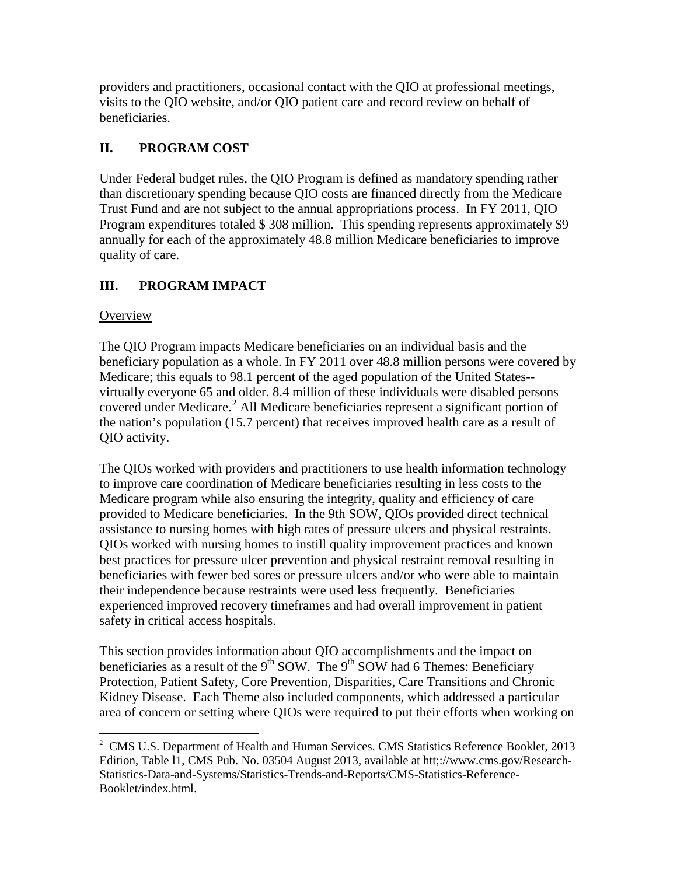providers and practitioners, occasional contact with the QIO at professional meetings, visits to the QIO website, and/or QIO patient care and record review on behalf of beneficiaries.

# **II. PROGRAM COST**

Under Federal budget rules, the QIO Program is defined as mandatory spending rather than discretionary spending because QIO costs are financed directly from the Medicare Trust Fund and are not subject to the annual appropriations process. In FY 2011, QIO Program expenditures totaled \$ 308 million. This spending represents approximately \$9 annually for each of the approximately 48.8 million Medicare beneficiaries to improve quality of care.

# **III. PROGRAM IMPACT**

# **Overview**

The QIO Program impacts Medicare beneficiaries on an individual basis and the beneficiary population as a whole. In FY 2011 over 48.8 million persons were covered by Medicare; this equals to 98.1 percent of the aged population of the United States- virtually everyone 65 and older. 8.4 million of these individuals were disabled persons covered under Medicare. [2](#page-6-0) All Medicare beneficiaries represent a significant portion of the nation's population (15.7 percent) that receives improved health care as a result of QIO activity.

The QIOs worked with providers and practitioners to use health information technology to improve care coordination of Medicare beneficiaries resulting in less costs to the Medicare program while also ensuring the integrity, quality and efficiency of care provided to Medicare beneficiaries. In the 9th SOW, QIOs provided direct technical assistance to nursing homes with high rates of pressure ulcers and physical restraints. QIOs worked with nursing homes to instill quality improvement practices and known best practices for pressure ulcer prevention and physical restraint removal resulting in beneficiaries with fewer bed sores or pressure ulcers and/or who were able to maintain their independence because restraints were used less frequently. Beneficiaries experienced improved recovery timeframes and had overall improvement in patient safety in critical access hospitals.

This section provides information about QIO accomplishments and the impact on beneficiaries as a result of the 9<sup>th</sup> SOW. The 9<sup>th</sup> SOW had 6 Themes: Beneficiary Protection, Patient Safety, Core Prevention, Disparities, Care Transitions and Chronic Kidney Disease. Each Theme also included components, which addressed a particular area of concern or setting where QIOs were required to put their efforts when working on

<span id="page-6-0"></span><sup>&</sup>lt;sup>2</sup> CMS U.S. Department of Health and Human Services. CMS Statistics Reference Booklet, 2013 Edition, Table l1, CMS Pub. No. 03504 August 2013, available at htt;://www.cms.gov/Research-Statistics-Data-and-Systems/Statistics-Trends-and-Reports/CMS-Statistics-Reference-Booklet/index.html.  $\ddot{\phantom{a}}$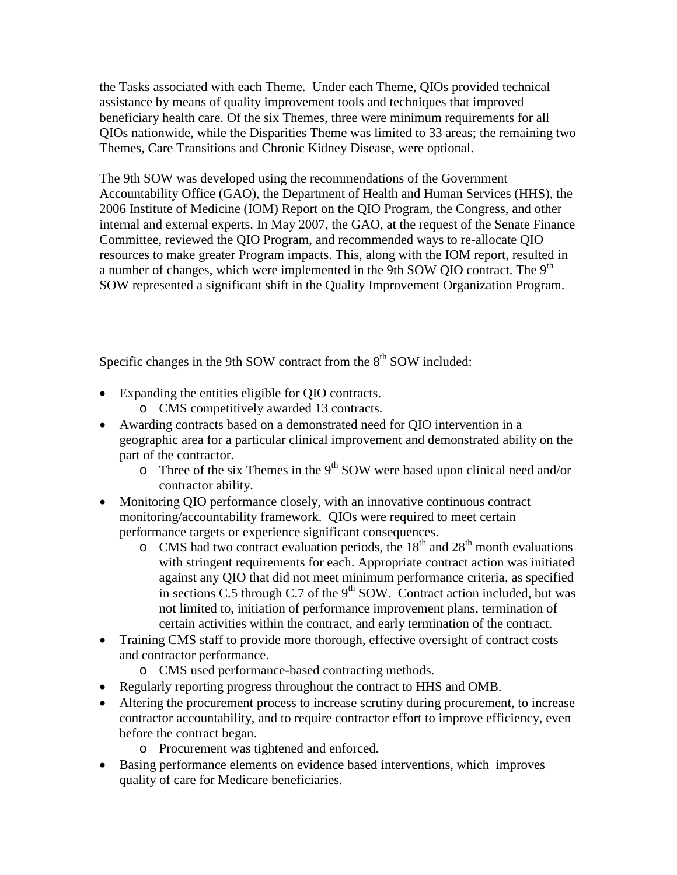the Tasks associated with each Theme. Under each Theme, QIOs provided technical assistance by means of quality improvement tools and techniques that improved beneficiary health care. Of the six Themes, three were minimum requirements for all QIOs nationwide, while the Disparities Theme was limited to 33 areas; the remaining two Themes, Care Transitions and Chronic Kidney Disease, were optional.

The 9th SOW was developed using the recommendations of the Government Accountability Office (GAO), the Department of Health and Human Services (HHS), the 2006 Institute of Medicine (IOM) Report on the QIO Program, the Congress, and other internal and external experts. In May 2007, the GAO, at the request of the Senate Finance Committee, reviewed the QIO Program, and recommended ways to re-allocate QIO resources to make greater Program impacts. This, along with the IOM report, resulted in a number of changes, which were implemented in the 9th SOW QIO contract. The 9<sup>th</sup> SOW represented a significant shift in the Quality Improvement Organization Program.

Specific changes in the 9th SOW contract from the  $8<sup>th</sup>$  SOW included:

- Expanding the entities eligible for QIO contracts.
	- o CMS competitively awarded 13 contracts.
- Awarding contracts based on a demonstrated need for QIO intervention in a geographic area for a particular clinical improvement and demonstrated ability on the part of the contractor.
	- $\circ$  Three of the six Themes in the 9<sup>th</sup> SOW were based upon clinical need and/or contractor ability.
- Monitoring QIO performance closely, with an innovative continuous contract monitoring/accountability framework. QIOs were required to meet certain performance targets or experience significant consequences.
	- $\circ$  CMS had two contract evaluation periods, the 18<sup>th</sup> and 28<sup>th</sup> month evaluations with stringent requirements for each. Appropriate contract action was initiated against any QIO that did not meet minimum performance criteria, as specified in sections C.5 through C.7 of the  $9<sup>th</sup>$  SOW. Contract action included, but was not limited to, initiation of performance improvement plans, termination of certain activities within the contract, and early termination of the contract.
- Training CMS staff to provide more thorough, effective oversight of contract costs and contractor performance.
	- o CMS used performance-based contracting methods.
- Regularly reporting progress throughout the contract to HHS and OMB.
- Altering the procurement process to increase scrutiny during procurement, to increase contractor accountability, and to require contractor effort to improve efficiency, even before the contract began.
	- o Procurement was tightened and enforced.
- Basing performance elements on evidence based interventions, which improves quality of care for Medicare beneficiaries.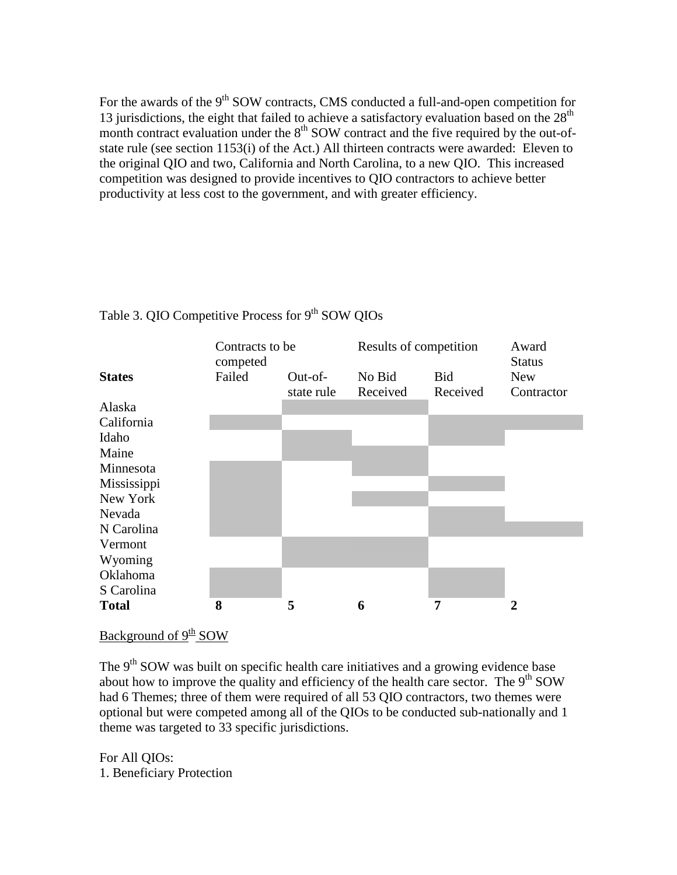For the awards of the 9<sup>th</sup> SOW contracts, CMS conducted a full-and-open competition for 13 jurisdictions, the eight that failed to achieve a satisfactory evaluation based on the  $28<sup>th</sup>$ month contract evaluation under the  $8<sup>th</sup>$  SOW contract and the five required by the out-ofstate rule (see section 1153(i) of the Act.) All thirteen contracts were awarded: Eleven to the original QIO and two, California and North Carolina, to a new QIO. This increased competition was designed to provide incentives to QIO contractors to achieve better productivity at less cost to the government, and with greater efficiency.



# Table 3. QIO Competitive Process for  $9<sup>th</sup>$  SOW QIOs

Background of 9<sup>th</sup> SOW

The  $9<sup>th</sup>$  SOW was built on specific health care initiatives and a growing evidence base about how to improve the quality and efficiency of the health care sector. The  $9<sup>th</sup>$  SOW had 6 Themes; three of them were required of all 53 QIO contractors, two themes were optional but were competed among all of the QIOs to be conducted sub-nationally and 1 theme was targeted to 33 specific jurisdictions.

For All QIOs: 1. Beneficiary Protection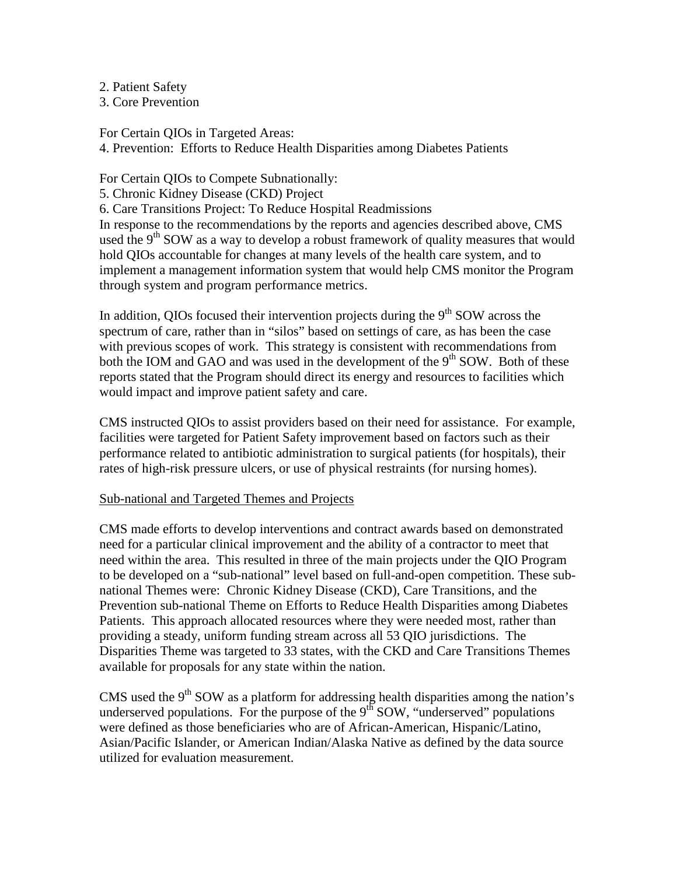2. Patient Safety

3. Core Prevention

For Certain QIOs in Targeted Areas:

4. Prevention: Efforts to Reduce Health Disparities among Diabetes Patients

For Certain QIOs to Compete Subnationally:

5. Chronic Kidney Disease (CKD) Project

6. Care Transitions Project: To Reduce Hospital Readmissions

In response to the recommendations by the reports and agencies described above, CMS used the  $9<sup>th</sup>$  SOW as a way to develop a robust framework of quality measures that would hold QIOs accountable for changes at many levels of the health care system, and to implement a management information system that would help CMS monitor the Program through system and program performance metrics.

In addition, QIOs focused their intervention projects during the  $9<sup>th</sup>$  SOW across the spectrum of care, rather than in "silos" based on settings of care, as has been the case with previous scopes of work. This strategy is consistent with recommendations from both the IOM and GAO and was used in the development of the  $9<sup>th</sup>$  SOW. Both of these reports stated that the Program should direct its energy and resources to facilities which would impact and improve patient safety and care.

CMS instructed QIOs to assist providers based on their need for assistance. For example, facilities were targeted for Patient Safety improvement based on factors such as their performance related to antibiotic administration to surgical patients (for hospitals), their rates of high-risk pressure ulcers, or use of physical restraints (for nursing homes).

#### Sub-national and Targeted Themes and Projects

CMS made efforts to develop interventions and contract awards based on demonstrated need for a particular clinical improvement and the ability of a contractor to meet that need within the area. This resulted in three of the main projects under the QIO Program to be developed on a "sub-national" level based on full-and-open competition. These subnational Themes were: Chronic Kidney Disease (CKD), Care Transitions, and the Prevention sub-national Theme on Efforts to Reduce Health Disparities among Diabetes Patients. This approach allocated resources where they were needed most, rather than providing a steady, uniform funding stream across all 53 QIO jurisdictions. The Disparities Theme was targeted to 33 states, with the CKD and Care Transitions Themes available for proposals for any state within the nation.

CMS used the  $9<sup>th</sup>$  SOW as a platform for addressing health disparities among the nation's underserved populations. For the purpose of the  $9<sup>th</sup>$  SOW, "underserved" populations were defined as those beneficiaries who are of African-American, Hispanic/Latino, Asian/Pacific Islander, or American Indian/Alaska Native as defined by the data source utilized for evaluation measurement.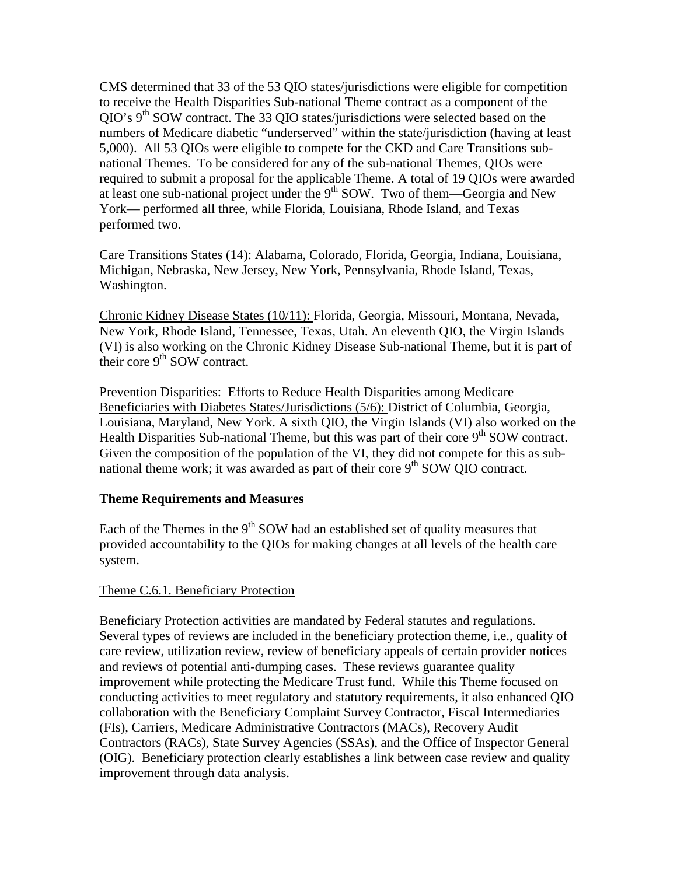CMS determined that 33 of the 53 QIO states/jurisdictions were eligible for competition to receive the Health Disparities Sub-national Theme contract as a component of the  $QIO's 9<sup>th</sup> SOW contract. The 33 QIO states/curis directions were selected based on the$ numbers of Medicare diabetic "underserved" within the state/jurisdiction (having at least 5,000). All 53 QIOs were eligible to compete for the CKD and Care Transitions subnational Themes. To be considered for any of the sub-national Themes, QIOs were required to submit a proposal for the applicable Theme. A total of 19 QIOs were awarded at least one sub-national project under the  $9<sup>th</sup>$  SOW. Two of them—Georgia and New York— performed all three, while Florida, Louisiana, Rhode Island, and Texas performed two.

Care Transitions States (14): Alabama, Colorado, Florida, Georgia, Indiana, Louisiana, Michigan, Nebraska, New Jersey, New York, Pennsylvania, Rhode Island, Texas, Washington.

Chronic Kidney Disease States (10/11): Florida, Georgia, Missouri, Montana, Nevada, New York, Rhode Island, Tennessee, Texas, Utah. An eleventh QIO, the Virgin Islands (VI) is also working on the Chronic Kidney Disease Sub-national Theme, but it is part of their core  $9<sup>th</sup>$  SOW contract.

Prevention Disparities: Efforts to Reduce Health Disparities among Medicare Beneficiaries with Diabetes States/Jurisdictions (5/6): District of Columbia, Georgia, Louisiana, Maryland, New York. A sixth QIO, the Virgin Islands (VI) also worked on the Health Disparities Sub-national Theme, but this was part of their core 9<sup>th</sup> SOW contract. Given the composition of the population of the VI, they did not compete for this as subnational theme work; it was awarded as part of their core  $9<sup>th</sup>$  SOW QIO contract.

#### **Theme Requirements and Measures**

Each of the Themes in the  $9<sup>th</sup>$  SOW had an established set of quality measures that provided accountability to the QIOs for making changes at all levels of the health care system.

## Theme C.6.1. Beneficiary Protection

Beneficiary Protection activities are mandated by Federal statutes and regulations. Several types of reviews are included in the beneficiary protection theme, i.e., quality of care review, utilization review, review of beneficiary appeals of certain provider notices and reviews of potential anti-dumping cases. These reviews guarantee quality improvement while protecting the Medicare Trust fund. While this Theme focused on conducting activities to meet regulatory and statutory requirements, it also enhanced QIO collaboration with the Beneficiary Complaint Survey Contractor, Fiscal Intermediaries (FIs), Carriers, Medicare Administrative Contractors (MACs), Recovery Audit Contractors (RACs), State Survey Agencies (SSAs), and the Office of Inspector General (OIG). Beneficiary protection clearly establishes a link between case review and quality improvement through data analysis.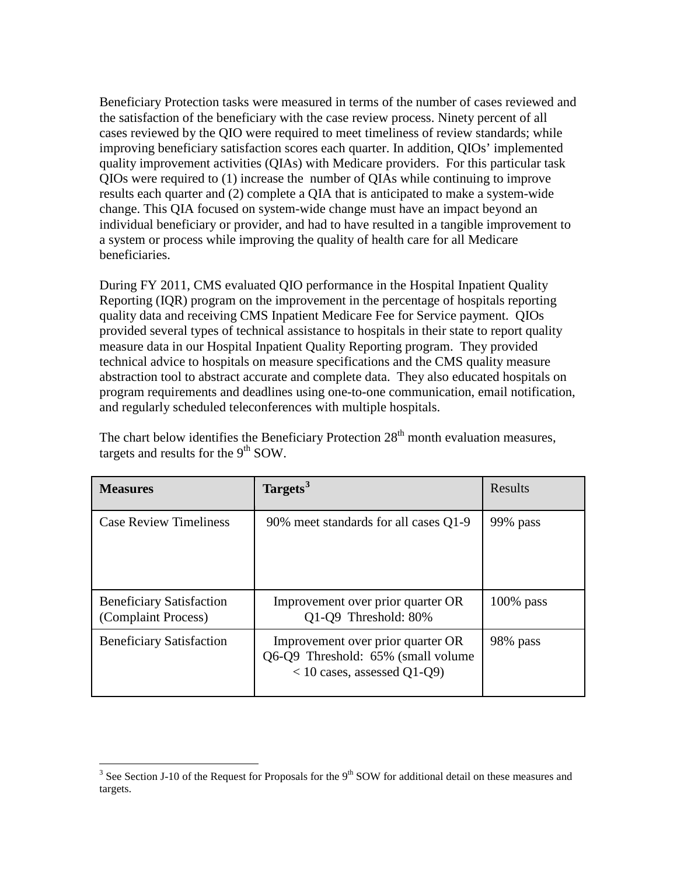Beneficiary Protection tasks were measured in terms of the number of cases reviewed and the satisfaction of the beneficiary with the case review process. Ninety percent of all cases reviewed by the QIO were required to meet timeliness of review standards; while improving beneficiary satisfaction scores each quarter. In addition, QIOs' implemented quality improvement activities (QIAs) with Medicare providers. For this particular task QIOs were required to (1) increase the number of QIAs while continuing to improve results each quarter and (2) complete a QIA that is anticipated to make a system-wide change. This QIA focused on system-wide change must have an impact beyond an individual beneficiary or provider, and had to have resulted in a tangible improvement to a system or process while improving the quality of health care for all Medicare beneficiaries.

During FY 2011, CMS evaluated QIO performance in the Hospital Inpatient Quality Reporting (IQR) program on the improvement in the percentage of hospitals reporting quality data and receiving CMS Inpatient Medicare Fee for Service payment. QIOs provided several types of technical assistance to hospitals in their state to report quality measure data in our Hospital Inpatient Quality Reporting program. They provided technical advice to hospitals on measure specifications and the CMS quality measure abstraction tool to abstract accurate and complete data. They also educated hospitals on program requirements and deadlines using one-to-one communication, email notification, and regularly scheduled teleconferences with multiple hospitals.

| <b>Measures</b>                                        | Targets <sup>3</sup>                                                                                      | Results      |
|--------------------------------------------------------|-----------------------------------------------------------------------------------------------------------|--------------|
| <b>Case Review Timeliness</b>                          | 90% meet standards for all cases Q1-9                                                                     | 99% pass     |
| <b>Beneficiary Satisfaction</b><br>(Complaint Process) | Improvement over prior quarter OR<br>Q1-Q9 Threshold: 80%                                                 | $100\%$ pass |
| <b>Beneficiary Satisfaction</b>                        | Improvement over prior quarter OR<br>Q6-Q9 Threshold: 65% (small volume)<br>$<$ 10 cases, assessed Q1-Q9) | 98% pass     |

The chart below identifies the Beneficiary Protection  $28<sup>th</sup>$  month evaluation measures, targets and results for the  $9<sup>th</sup>$  SOW.

 $\overline{a}$ 

<span id="page-11-0"></span><sup>&</sup>lt;sup>3</sup> See Section J-10 of the Request for Proposals for the  $9<sup>th</sup>$  SOW for additional detail on these measures and targets.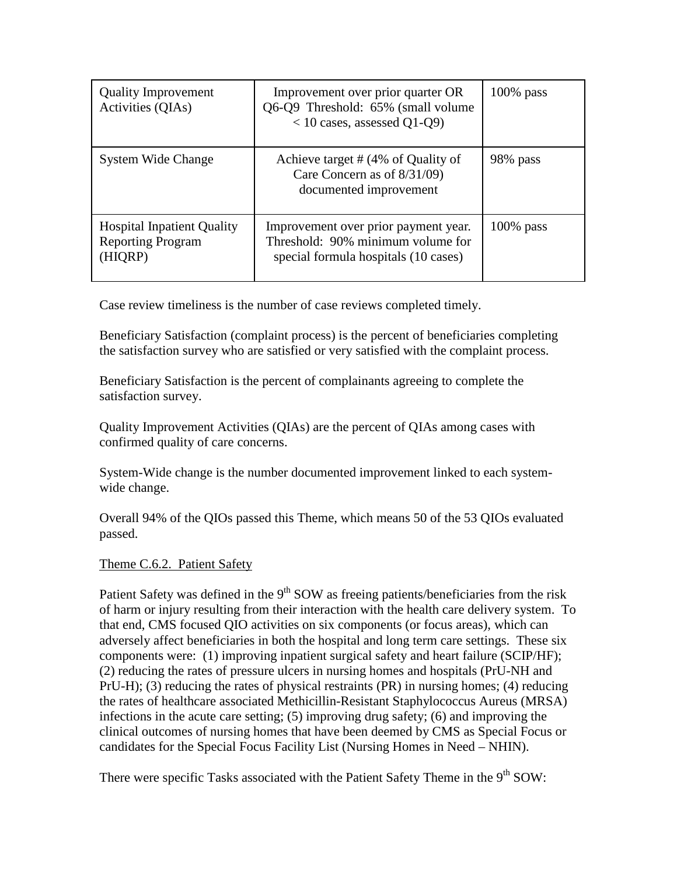| <b>Quality Improvement</b><br>Activities (QIAs)                          | Improvement over prior quarter OR<br>Q6-Q9 Threshold: 65% (small volume)<br>$<$ 10 cases, assessed Q1-Q9)         | $100\%$ pass |
|--------------------------------------------------------------------------|-------------------------------------------------------------------------------------------------------------------|--------------|
| <b>System Wide Change</b>                                                | Achieve target # (4% of Quality of<br>Care Concern as of 8/31/09)<br>documented improvement                       | 98% pass     |
| <b>Hospital Inpatient Quality</b><br><b>Reporting Program</b><br>(HIQRP) | Improvement over prior payment year.<br>Threshold: 90% minimum volume for<br>special formula hospitals (10 cases) | $100\%$ pass |

Case review timeliness is the number of case reviews completed timely.

Beneficiary Satisfaction (complaint process) is the percent of beneficiaries completing the satisfaction survey who are satisfied or very satisfied with the complaint process.

Beneficiary Satisfaction is the percent of complainants agreeing to complete the satisfaction survey.

Quality Improvement Activities (QIAs) are the percent of QIAs among cases with confirmed quality of care concerns.

System-Wide change is the number documented improvement linked to each systemwide change.

Overall 94% of the QIOs passed this Theme, which means 50 of the 53 QIOs evaluated passed.

## Theme C.6.2. Patient Safety

Patient Safety was defined in the  $9<sup>th</sup>$  SOW as freeing patients/beneficiaries from the risk of harm or injury resulting from their interaction with the health care delivery system. To that end, CMS focused QIO activities on six components (or focus areas), which can adversely affect beneficiaries in both the hospital and long term care settings. These six components were: (1) improving inpatient surgical safety and heart failure (SCIP/HF); (2) reducing the rates of pressure ulcers in nursing homes and hospitals (PrU-NH and PrU-H); (3) reducing the rates of physical restraints (PR) in nursing homes; (4) reducing the rates of healthcare associated Methicillin-Resistant Staphylococcus Aureus (MRSA) infections in the acute care setting; (5) improving drug safety; (6) and improving the clinical outcomes of nursing homes that have been deemed by CMS as Special Focus or candidates for the Special Focus Facility List (Nursing Homes in Need – NHIN).

There were specific Tasks associated with the Patient Safety Theme in the 9<sup>th</sup> SOW: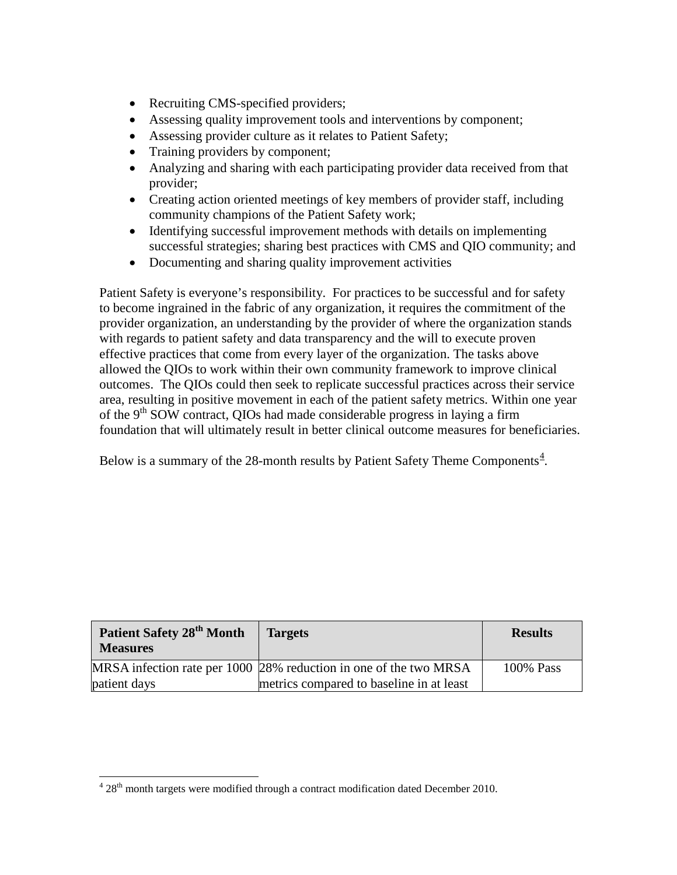- Recruiting CMS-specified providers;
- Assessing quality improvement tools and interventions by component;
- Assessing provider culture as it relates to Patient Safety;
- Training providers by component;
- Analyzing and sharing with each participating provider data received from that provider;
- Creating action oriented meetings of key members of provider staff, including community champions of the Patient Safety work;
- Identifying successful improvement methods with details on implementing successful strategies; sharing best practices with CMS and QIO community; and
- Documenting and sharing quality improvement activities

Patient Safety is everyone's responsibility. For practices to be successful and for safety to become ingrained in the fabric of any organization, it requires the commitment of the provider organization, an understanding by the provider of where the organization stands with regards to patient safety and data transparency and the will to execute proven effective practices that come from every layer of the organization. The tasks above allowed the QIOs to work within their own community framework to improve clinical outcomes. The QIOs could then seek to replicate successful practices across their service area, resulting in positive movement in each of the patient safety metrics. Within one year of the 9<sup>th</sup> SOW contract, QIOs had made considerable progress in laying a firm foundation that will ultimately result in better clinical outcome measures for beneficiaries.

Below is a summary of the 28-month results by Patient Safety Theme Components $4$ .

| Patient Safety 28 <sup>th</sup> Month<br><b>Measures</b> | <b>Targets</b>                                                    | <b>Results</b> |
|----------------------------------------------------------|-------------------------------------------------------------------|----------------|
|                                                          | MRSA infection rate per 1000 28% reduction in one of the two MRSA | 100% Pass      |
| patient days                                             | metrics compared to baseline in at least                          |                |

<span id="page-13-0"></span> $4.28<sup>th</sup>$  month targets were modified through a contract modification dated December 2010.  $\overline{a}$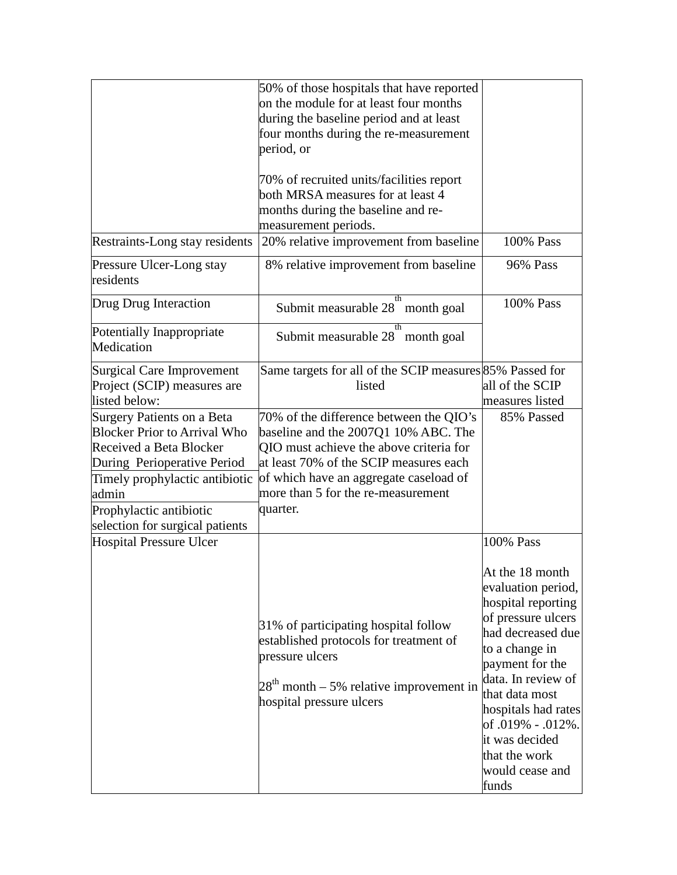|                                                                                                                                                                                                                                      | 50% of those hospitals that have reported<br>on the module for at least four months<br>during the baseline period and at least<br>four months during the re-measurement<br>period, or                                                                            |                                                                                                                                                                                                                                                                                                             |
|--------------------------------------------------------------------------------------------------------------------------------------------------------------------------------------------------------------------------------------|------------------------------------------------------------------------------------------------------------------------------------------------------------------------------------------------------------------------------------------------------------------|-------------------------------------------------------------------------------------------------------------------------------------------------------------------------------------------------------------------------------------------------------------------------------------------------------------|
|                                                                                                                                                                                                                                      | 70% of recruited units/facilities report<br>both MRSA measures for at least 4<br>months during the baseline and re-<br>measurement periods.                                                                                                                      |                                                                                                                                                                                                                                                                                                             |
| Restraints-Long stay residents                                                                                                                                                                                                       | 20% relative improvement from baseline                                                                                                                                                                                                                           | 100% Pass                                                                                                                                                                                                                                                                                                   |
| Pressure Ulcer-Long stay<br>residents                                                                                                                                                                                                | 8% relative improvement from baseline                                                                                                                                                                                                                            | <b>96% Pass</b>                                                                                                                                                                                                                                                                                             |
| Drug Drug Interaction                                                                                                                                                                                                                | th<br>Submit measurable 28" month goal                                                                                                                                                                                                                           | 100% Pass                                                                                                                                                                                                                                                                                                   |
| Potentially Inappropriate<br>Medication                                                                                                                                                                                              | th<br>Submit measurable 28 month goal                                                                                                                                                                                                                            |                                                                                                                                                                                                                                                                                                             |
| Surgical Care Improvement<br>Project (SCIP) measures are<br>listed below:                                                                                                                                                            | Same targets for all of the SCIP measures 85% Passed for<br>listed                                                                                                                                                                                               | all of the SCIP<br>measures listed                                                                                                                                                                                                                                                                          |
| Surgery Patients on a Beta<br><b>Blocker Prior to Arrival Who</b><br>Received a Beta Blocker<br>During Perioperative Period<br>Timely prophylactic antibiotic<br>admin<br>Prophylactic antibiotic<br>selection for surgical patients | 70% of the difference between the QIO's<br>baseline and the 2007Q1 10% ABC. The<br>QIO must achieve the above criteria for<br>at least 70% of the SCIP measures each<br>of which have an aggregate caseload of<br>more than 5 for the re-measurement<br>quarter. | 85% Passed                                                                                                                                                                                                                                                                                                  |
| <b>Hospital Pressure Ulcer</b>                                                                                                                                                                                                       | 31% of participating hospital follow<br>established protocols for treatment of<br>pressure ulcers<br>$28th$ month – 5% relative improvement in<br>hospital pressure ulcers                                                                                       | 100% Pass<br>At the 18 month<br>evaluation period,<br>hospital reporting<br>of pressure ulcers<br>had decreased due<br>to a change in<br>payment for the<br>data. In review of<br>that data most<br>hospitals had rates<br>of .019% - .012%.<br>it was decided<br>that the work<br>would cease and<br>funds |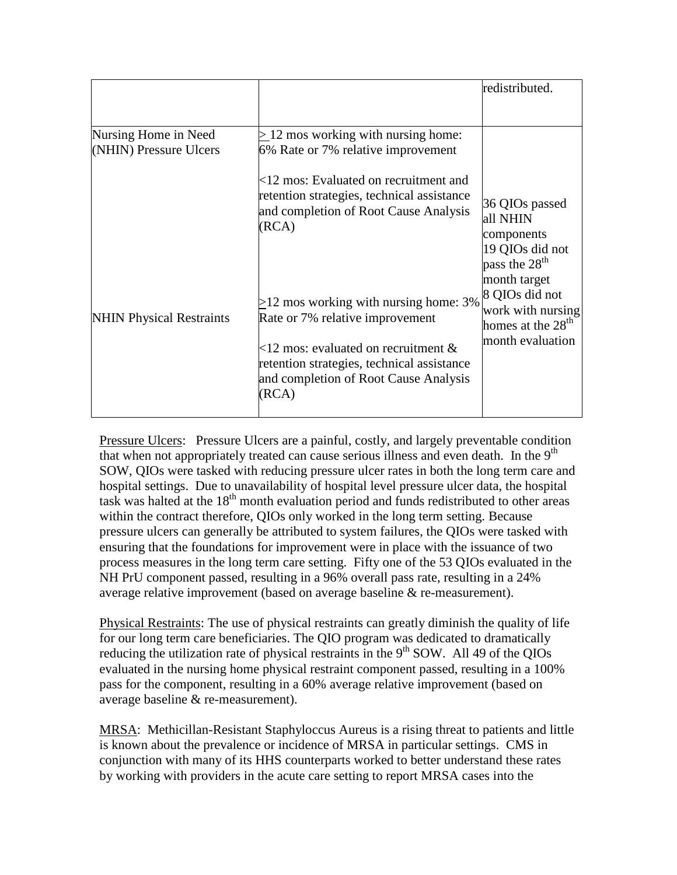|                                                |                                                                                                                                                                                                                     | redistributed.                                                                                 |
|------------------------------------------------|---------------------------------------------------------------------------------------------------------------------------------------------------------------------------------------------------------------------|------------------------------------------------------------------------------------------------|
|                                                |                                                                                                                                                                                                                     |                                                                                                |
| Nursing Home in Need<br>(NHIN) Pressure Ulcers | $\geq$ 12 mos working with nursing home:<br>6% Rate or 7% relative improvement<br>$<12$ mos: Evaluated on recruitment and                                                                                           |                                                                                                |
|                                                | retention strategies, technical assistance<br>and completion of Root Cause Analysis<br>(RCA)                                                                                                                        | 36 QIOs passed<br>all NHIN<br>components<br>19 QIOs did not<br>pass the $28th$                 |
| <b>NHIN Physical Restraints</b>                | $>12$ mos working with nursing home: 3%<br>Rate or 7% relative improvement<br>$<12$ mos: evaluated on recruitment &<br>retention strategies, technical assistance<br>and completion of Root Cause Analysis<br>(RCA) | month target<br>8 QIOs did not<br>work with nursing<br>homes at the $28th$<br>month evaluation |

Pressure Ulcers: Pressure Ulcers are a painful, costly, and largely preventable condition that when not appropriately treated can cause serious illness and even death. In the  $9<sup>th</sup>$ SOW, QIOs were tasked with reducing pressure ulcer rates in both the long term care and hospital settings. Due to unavailability of hospital level pressure ulcer data, the hospital task was halted at the  $18<sup>th</sup>$  month evaluation period and funds redistributed to other areas within the contract therefore, QIOs only worked in the long term setting. Because pressure ulcers can generally be attributed to system failures, the QIOs were tasked with ensuring that the foundations for improvement were in place with the issuance of two process measures in the long term care setting. Fifty one of the 53 QIOs evaluated in the NH PrU component passed, resulting in a 96% overall pass rate, resulting in a 24% average relative improvement (based on average baseline & re-measurement).

Physical Restraints: The use of physical restraints can greatly diminish the quality of life for our long term care beneficiaries. The QIO program was dedicated to dramatically reducing the utilization rate of physical restraints in the  $9<sup>th</sup>$  SOW. All 49 of the QIOs evaluated in the nursing home physical restraint component passed, resulting in a 100% pass for the component, resulting in a 60% average relative improvement (based on average baseline & re-measurement).

MRSA: Methicillan-Resistant Staphyloccus Aureus is a rising threat to patients and little is known about the prevalence or incidence of MRSA in particular settings. CMS in conjunction with many of its HHS counterparts worked to better understand these rates by working with providers in the acute care setting to report MRSA cases into the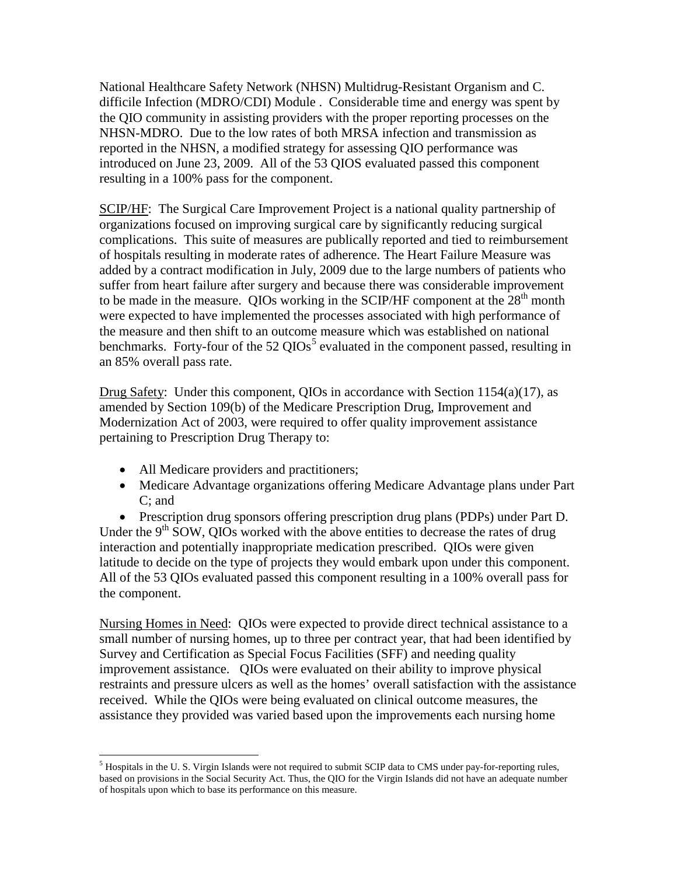National Healthcare Safety Network (NHSN) Multidrug-Resistant Organism and C. difficile Infection (MDRO/CDI) Module . Considerable time and energy was spent by the QIO community in assisting providers with the proper reporting processes on the NHSN-MDRO. Due to the low rates of both MRSA infection and transmission as reported in the NHSN, a modified strategy for assessing QIO performance was introduced on June 23, 2009. All of the 53 QIOS evaluated passed this component resulting in a 100% pass for the component.

SCIP/HF: The Surgical Care Improvement Project is a national quality partnership of organizations focused on improving surgical care by significantly reducing surgical complications. This suite of measures are publically reported and tied to reimbursement of hospitals resulting in moderate rates of adherence. The Heart Failure Measure was added by a contract modification in July, 2009 due to the large numbers of patients who suffer from heart failure after surgery and because there was considerable improvement to be made in the measure. QIOs working in the SCIP/HF component at the  $28<sup>th</sup>$  month were expected to have implemented the processes associated with high performance of the measure and then shift to an outcome measure which was established on national benchmarks. Forty-four of the  $52 \text{ QIOs}^5$  $52 \text{ QIOs}^5$  evaluated in the component passed, resulting in an 85% overall pass rate.

Drug Safety: Under this component, QIOs in accordance with Section 1154(a)(17), as amended by Section 109(b) of the Medicare Prescription Drug, Improvement and Modernization Act of 2003, were required to offer quality improvement assistance pertaining to Prescription Drug Therapy to:

- All Medicare providers and practitioners;
- Medicare Advantage organizations offering Medicare Advantage plans under Part C; and

• Prescription drug sponsors offering prescription drug plans (PDPs) under Part D. Under the  $9<sup>th</sup>$  SOW, OIOs worked with the above entities to decrease the rates of drug interaction and potentially inappropriate medication prescribed. QIOs were given latitude to decide on the type of projects they would embark upon under this component. All of the 53 QIOs evaluated passed this component resulting in a 100% overall pass for the component.

Nursing Homes in Need: QIOs were expected to provide direct technical assistance to a small number of nursing homes, up to three per contract year, that had been identified by Survey and Certification as Special Focus Facilities (SFF) and needing quality improvement assistance. QIOs were evaluated on their ability to improve physical restraints and pressure ulcers as well as the homes' overall satisfaction with the assistance received. While the QIOs were being evaluated on clinical outcome measures, the assistance they provided was varied based upon the improvements each nursing home

<span id="page-16-0"></span> $<sup>5</sup>$  Hospitals in the U. S. Virgin Islands were not required to submit SCIP data to CMS under pay-for-reporting rules,</sup> based on provisions in the Social Security Act. Thus, the QIO for the Virgin Islands did not have an adequate number of hospitals upon which to base its performance on this measure.  $\overline{a}$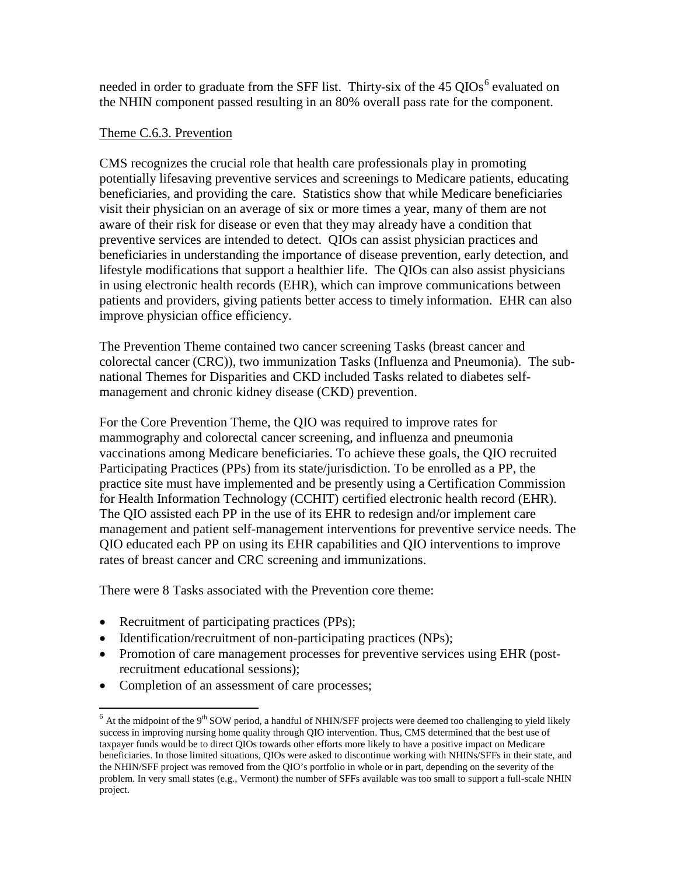needed in order to graduate from the SFF list. Thirty-six of the 45  $O{IOs}^6$  $O{IOs}^6$  evaluated on the NHIN component passed resulting in an 80% overall pass rate for the component.

#### Theme C.6.3. Prevention

CMS recognizes the crucial role that health care professionals play in promoting potentially lifesaving preventive services and screenings to Medicare patients, educating beneficiaries, and providing the care. Statistics show that while Medicare beneficiaries visit their physician on an average of six or more times a year, many of them are not aware of their risk for disease or even that they may already have a condition that preventive services are intended to detect. QIOs can assist physician practices and beneficiaries in understanding the importance of disease prevention, early detection, and lifestyle modifications that support a healthier life. The QIOs can also assist physicians in using electronic health records (EHR), which can improve communications between patients and providers, giving patients better access to timely information. EHR can also improve physician office efficiency.

The Prevention Theme contained two cancer screening Tasks (breast cancer and colorectal cancer (CRC)), two immunization Tasks (Influenza and Pneumonia). The subnational Themes for Disparities and CKD included Tasks related to diabetes selfmanagement and chronic kidney disease (CKD) prevention.

For the Core Prevention Theme, the QIO was required to improve rates for mammography and colorectal cancer screening, and influenza and pneumonia vaccinations among Medicare beneficiaries. To achieve these goals, the QIO recruited Participating Practices (PPs) from its state/jurisdiction. To be enrolled as a PP, the practice site must have implemented and be presently using a Certification Commission for Health Information Technology (CCHIT) certified electronic health record (EHR). The QIO assisted each PP in the use of its EHR to redesign and/or implement care management and patient self-management interventions for preventive service needs. The QIO educated each PP on using its EHR capabilities and QIO interventions to improve rates of breast cancer and CRC screening and immunizations.

There were 8 Tasks associated with the Prevention core theme:

- Recruitment of participating practices (PPs);
- Identification/recruitment of non-participating practices (NPs);
- Promotion of care management processes for preventive services using EHR (postrecruitment educational sessions);
- Completion of an assessment of care processes;

 $\ddot{\phantom{a}}$ 

<span id="page-17-0"></span> $6$  At the midpoint of the 9<sup>th</sup> SOW period, a handful of NHIN/SFF projects were deemed too challenging to yield likely success in improving nursing home quality through QIO intervention. Thus, CMS determined that the best use of taxpayer funds would be to direct QIOs towards other efforts more likely to have a positive impact on Medicare beneficiaries. In those limited situations, QIOs were asked to discontinue working with NHINs/SFFs in their state, and the NHIN/SFF project was removed from the QIO's portfolio in whole or in part, depending on the severity of the problem. In very small states (e.g., Vermont) the number of SFFs available was too small to support a full-scale NHIN project.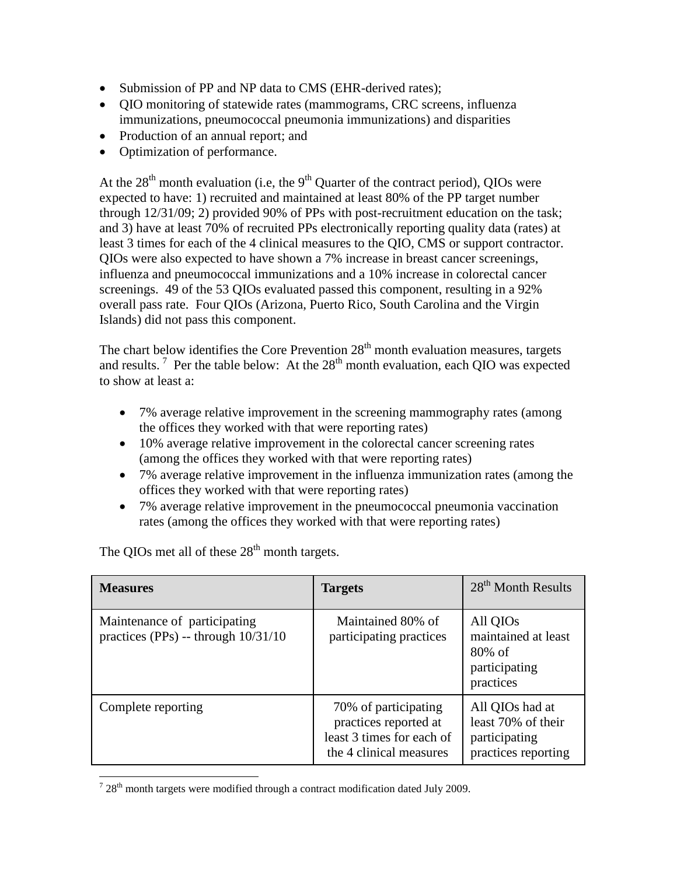- Submission of PP and NP data to CMS (EHR-derived rates);
- QIO monitoring of statewide rates (mammograms, CRC screens, influenza immunizations, pneumococcal pneumonia immunizations) and disparities
- Production of an annual report; and
- Optimization of performance.

At the  $28<sup>th</sup>$  month evaluation (i.e, the  $9<sup>th</sup>$  Quarter of the contract period), QIOs were expected to have: 1) recruited and maintained at least 80% of the PP target number through 12/31/09; 2) provided 90% of PPs with post-recruitment education on the task; and 3) have at least 70% of recruited PPs electronically reporting quality data (rates) at least 3 times for each of the 4 clinical measures to the QIO, CMS or support contractor. QIOs were also expected to have shown a 7% increase in breast cancer screenings, influenza and pneumococcal immunizations and a 10% increase in colorectal cancer screenings. 49 of the 53 QIOs evaluated passed this component, resulting in a 92% overall pass rate. Four QIOs (Arizona, Puerto Rico, South Carolina and the Virgin Islands) did not pass this component.

The chart below identifies the Core Prevention  $28<sup>th</sup>$  month evaluation measures, targets and results.<sup>[7](#page-18-0)</sup> Per the table below: At the  $28<sup>th</sup>$  month evaluation, each QIO was expected to show at least a:

- 7% average relative improvement in the screening mammography rates (among the offices they worked with that were reporting rates)
- 10% average relative improvement in the colorectal cancer screening rates (among the offices they worked with that were reporting rates)
- 7% average relative improvement in the influenza immunization rates (among the offices they worked with that were reporting rates)
- 7% average relative improvement in the pneumococcal pneumonia vaccination rates (among the offices they worked with that were reporting rates)

| <b>Measures</b>                                                     | <b>Targets</b>                                                                                        | 28 <sup>th</sup> Month Results                                                |
|---------------------------------------------------------------------|-------------------------------------------------------------------------------------------------------|-------------------------------------------------------------------------------|
| Maintenance of participating<br>practices (PPs) -- through 10/31/10 | Maintained 80% of<br>participating practices                                                          | All QIOs<br>maintained at least<br>$80\%$ of<br>participating<br>practices    |
| Complete reporting                                                  | 70% of participating<br>practices reported at<br>least 3 times for each of<br>the 4 clinical measures | All QIOs had at<br>least 70% of their<br>participating<br>practices reporting |

The QIOs met all of these  $28<sup>th</sup>$  month targets.

<span id="page-18-0"></span> $728<sup>th</sup>$  month targets were modified through a contract modification dated July 2009.  $\overline{a}$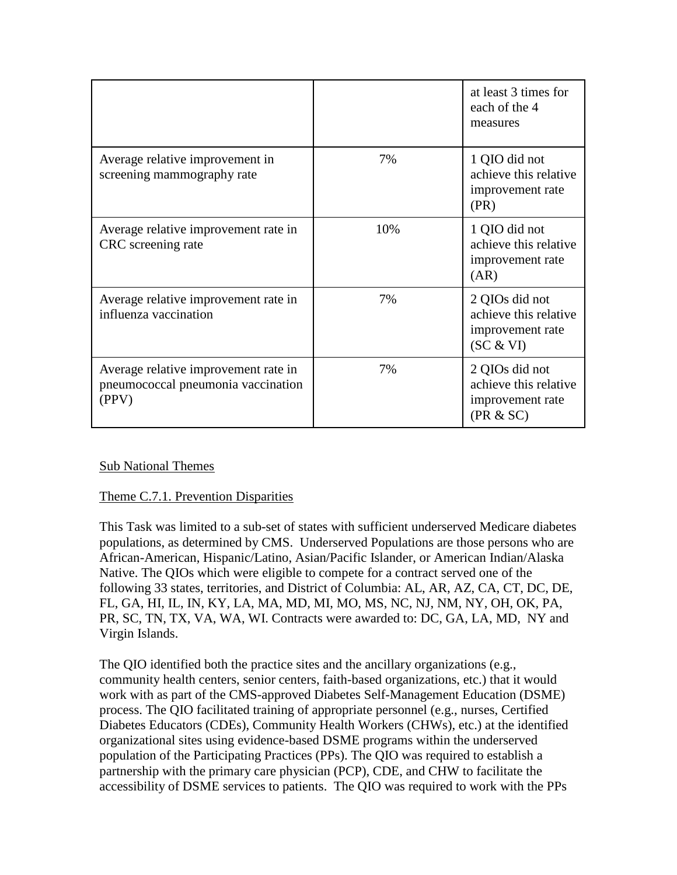|                                                                                     |     | at least 3 times for<br>each of the 4<br>measures                        |
|-------------------------------------------------------------------------------------|-----|--------------------------------------------------------------------------|
| Average relative improvement in<br>screening mammography rate                       | 7%  | 1 QIO did not<br>achieve this relative<br>improvement rate<br>(PR)       |
| Average relative improvement rate in<br>CRC screening rate                          | 10% | 1 QIO did not<br>achieve this relative<br>improvement rate<br>(AR)       |
| Average relative improvement rate in<br>influenza vaccination                       | 7%  | 2 QIOs did not<br>achieve this relative<br>improvement rate<br>(SC & VI) |
| Average relative improvement rate in<br>pneumococcal pneumonia vaccination<br>(PPV) | 7%  | 2 QIOs did not<br>achieve this relative<br>improvement rate<br>(PR & SC) |

## Sub National Themes

#### Theme C.7.1. Prevention Disparities

This Task was limited to a sub-set of states with sufficient underserved Medicare diabetes populations, as determined by CMS. Underserved Populations are those persons who are African-American, Hispanic/Latino, Asian/Pacific Islander, or American Indian/Alaska Native. The QIOs which were eligible to compete for a contract served one of the following 33 states, territories, and District of Columbia: AL, AR, AZ, CA, CT, DC, DE, FL, GA, HI, IL, IN, KY, LA, MA, MD, MI, MO, MS, NC, NJ, NM, NY, OH, OK, PA, PR, SC, TN, TX, VA, WA, WI. Contracts were awarded to: DC, GA, LA, MD, NY and Virgin Islands.

The QIO identified both the practice sites and the ancillary organizations (e.g., community health centers, senior centers, faith-based organizations, etc.) that it would work with as part of the CMS-approved Diabetes Self-Management Education (DSME) process. The QIO facilitated training of appropriate personnel (e.g., nurses, Certified Diabetes Educators (CDEs), Community Health Workers (CHWs), etc.) at the identified organizational sites using evidence-based DSME programs within the underserved population of the Participating Practices (PPs). The QIO was required to establish a partnership with the primary care physician (PCP), CDE, and CHW to facilitate the accessibility of DSME services to patients. The QIO was required to work with the PPs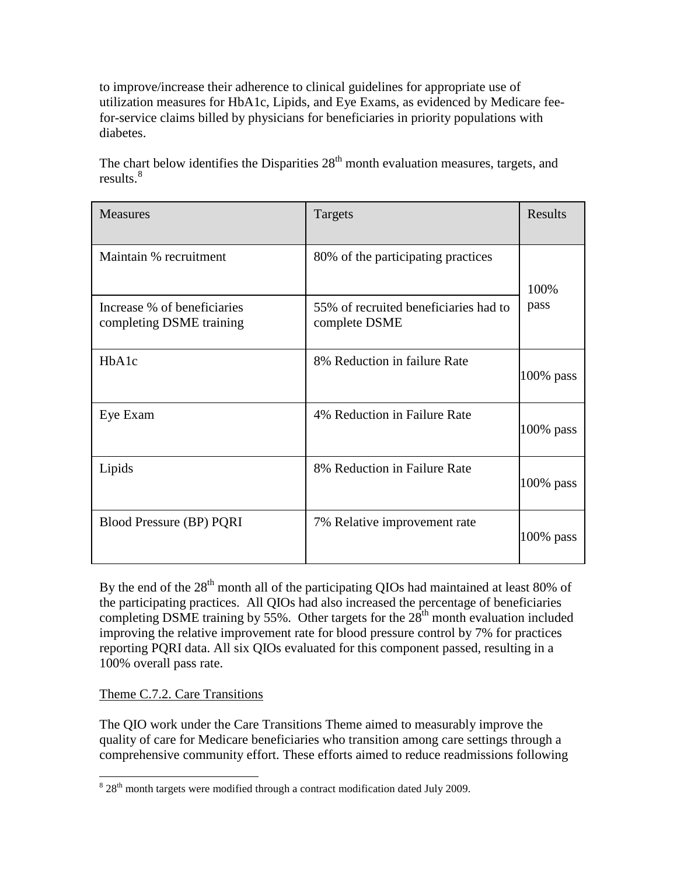to improve/increase their adherence to clinical guidelines for appropriate use of utilization measures for HbA1c, Lipids, and Eye Exams, as evidenced by Medicare feefor-service claims billed by physicians for beneficiaries in priority populations with diabetes.

The chart below identifies the Disparities  $28<sup>th</sup>$  month evaluation measures, targets, and results.<sup>[8](#page-20-0)</sup>

| <b>Measures</b>                                         | Targets                                                | Results      |
|---------------------------------------------------------|--------------------------------------------------------|--------------|
| Maintain % recruitment                                  | 80% of the participating practices                     | 100%         |
| Increase % of beneficiaries<br>completing DSME training | 55% of recruited beneficiaries had to<br>complete DSME | pass         |
| HbA1c                                                   | 8% Reduction in failure Rate                           | $100\%$ pass |
| Eye Exam                                                | 4% Reduction in Failure Rate                           | $100\%$ pass |
| Lipids                                                  | 8% Reduction in Failure Rate                           | $100\%$ pass |
| Blood Pressure (BP) PQRI                                | 7% Relative improvement rate                           | $100\%$ pass |

By the end of the  $28<sup>th</sup>$  month all of the participating QIOs had maintained at least 80% of the participating practices. All QIOs had also increased the percentage of beneficiaries completing DSME training by 55%. Other targets for the  $28<sup>th</sup>$  month evaluation included improving the relative improvement rate for blood pressure control by 7% for practices reporting PQRI data. All six QIOs evaluated for this component passed, resulting in a 100% overall pass rate.

Theme C.7.2. Care Transitions

The QIO work under the Care Transitions Theme aimed to measurably improve the quality of care for Medicare beneficiaries who transition among care settings through a comprehensive community effort. These efforts aimed to reduce readmissions following

<span id="page-20-0"></span> $8\,28$ <sup>th</sup> month targets were modified through a contract modification dated July 2009.  $\overline{a}$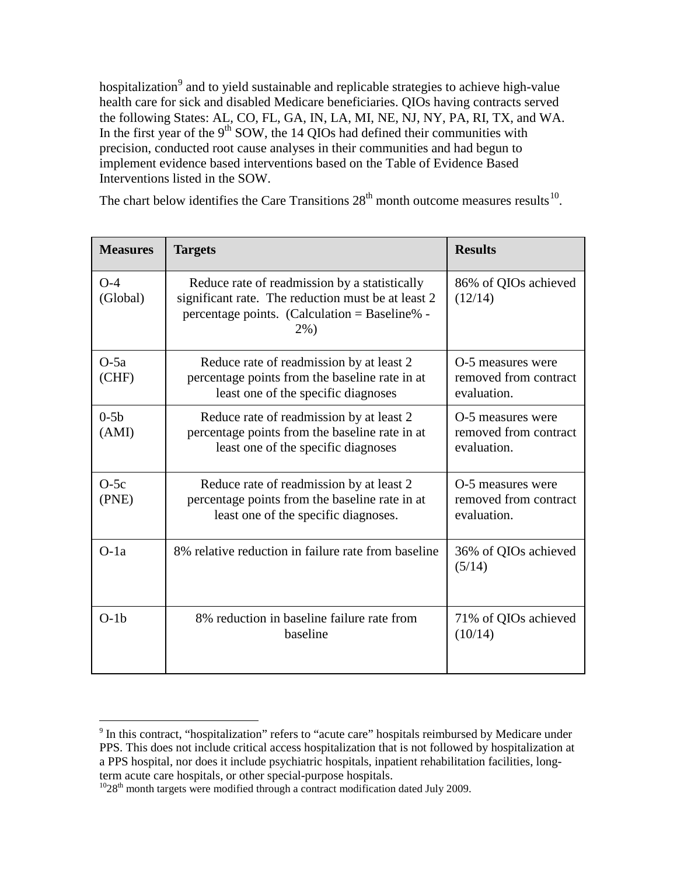hospitalization<sup>[9](#page-21-0)</sup> and to yield sustainable and replicable strategies to achieve high-value health care for sick and disabled Medicare beneficiaries. QIOs having contracts served the following States: AL, CO, FL, GA, IN, LA, MI, NE, NJ, NY, PA, RI, TX, and WA. In the first year of the  $9<sup>th</sup>$  SOW, the 14 QIOs had defined their communities with precision, conducted root cause analyses in their communities and had begun to implement evidence based interventions based on the Table of Evidence Based Interventions listed in the SOW.

The chart below identifies the Care Transitions  $28<sup>th</sup>$  month outcome measures results<sup>10</sup>.

| <b>Measures</b>   | <b>Targets</b>                                                                                                                                                  | <b>Results</b>                                            |
|-------------------|-----------------------------------------------------------------------------------------------------------------------------------------------------------------|-----------------------------------------------------------|
| $O-4$<br>(Global) | Reduce rate of readmission by a statistically<br>significant rate. The reduction must be at least 2<br>percentage points. (Calculation = Baseline% -<br>$2\%$ ) | 86% of QIOs achieved<br>(12/14)                           |
| $O-5a$<br>(CHF)   | Reduce rate of readmission by at least 2<br>percentage points from the baseline rate in at<br>least one of the specific diagnoses                               | O-5 measures were<br>removed from contract<br>evaluation. |
| $0-5b$<br>(AMI)   | Reduce rate of readmission by at least 2<br>percentage points from the baseline rate in at<br>least one of the specific diagnoses                               | O-5 measures were<br>removed from contract<br>evaluation. |
| $O-5c$<br>(PNE)   | Reduce rate of readmission by at least 2<br>percentage points from the baseline rate in at<br>least one of the specific diagnoses.                              | O-5 measures were<br>removed from contract<br>evaluation. |
| $O-1a$            | 8% relative reduction in failure rate from baseline                                                                                                             | 36% of QIOs achieved<br>(5/14)                            |
| $O-1b$            | 8% reduction in baseline failure rate from<br>baseline                                                                                                          | 71% of QIOs achieved<br>(10/14)                           |

 $\overline{a}$ 

<span id="page-21-0"></span> $9$  In this contract, "hospitalization" refers to "acute care" hospitals reimbursed by Medicare under PPS. This does not include critical access hospitalization that is not followed by hospitalization at a PPS hospital, nor does it include psychiatric hospitals, inpatient rehabilitation facilities, long-

<span id="page-21-1"></span> $1028$ <sup>th</sup> month targets were modified through a contract modification dated July 2009.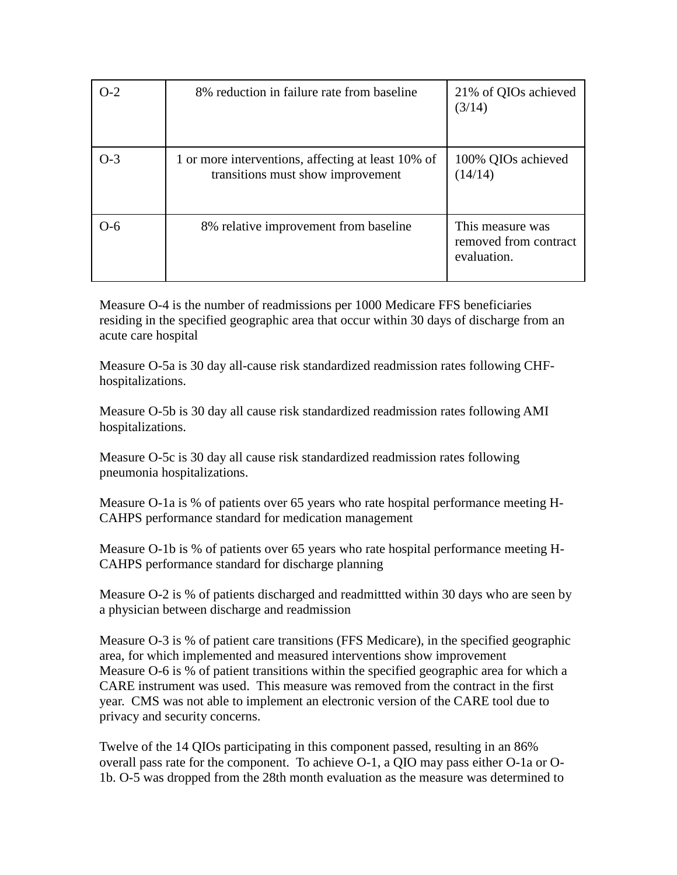| $O-2$ | 8% reduction in failure rate from baseline                                              | 21% of QIOs achieved<br>(3/14)                           |
|-------|-----------------------------------------------------------------------------------------|----------------------------------------------------------|
| $O-3$ | 1 or more interventions, affecting at least 10% of<br>transitions must show improvement | 100% QIOs achieved<br>(14/14)                            |
| റ-6   | 8% relative improvement from baseline                                                   | This measure was<br>removed from contract<br>evaluation. |

Measure O-4 is the number of readmissions per 1000 Medicare FFS beneficiaries residing in the specified geographic area that occur within 30 days of discharge from an acute care hospital

Measure O-5a is 30 day all-cause risk standardized readmission rates following CHFhospitalizations.

Measure O-5b is 30 day all cause risk standardized readmission rates following AMI hospitalizations.

Measure O-5c is 30 day all cause risk standardized readmission rates following pneumonia hospitalizations.

Measure O-1a is % of patients over 65 years who rate hospital performance meeting H-CAHPS performance standard for medication management

Measure O-1b is % of patients over 65 years who rate hospital performance meeting H-CAHPS performance standard for discharge planning

Measure O-2 is % of patients discharged and readmittted within 30 days who are seen by a physician between discharge and readmission

Measure O-3 is % of patient care transitions (FFS Medicare), in the specified geographic area, for which implemented and measured interventions show improvement Measure O-6 is % of patient transitions within the specified geographic area for which a CARE instrument was used. This measure was removed from the contract in the first year. CMS was not able to implement an electronic version of the CARE tool due to privacy and security concerns.

Twelve of the 14 QIOs participating in this component passed, resulting in an 86% overall pass rate for the component. To achieve O-1, a QIO may pass either O-1a or O-1b. O-5 was dropped from the 28th month evaluation as the measure was determined to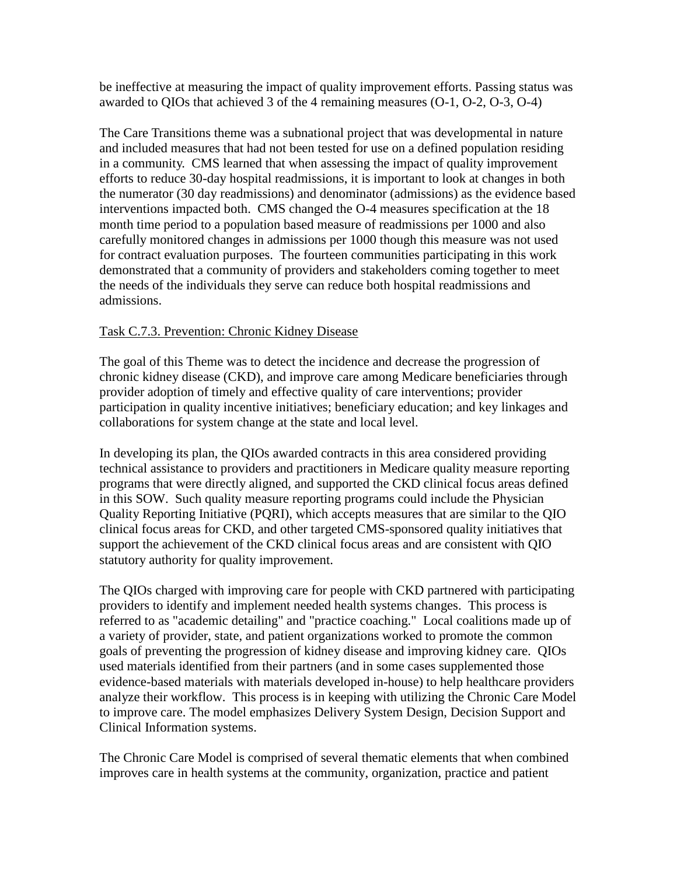be ineffective at measuring the impact of quality improvement efforts. Passing status was awarded to QIOs that achieved 3 of the 4 remaining measures (O-1, O-2, O-3, O-4)

The Care Transitions theme was a subnational project that was developmental in nature and included measures that had not been tested for use on a defined population residing in a community. CMS learned that when assessing the impact of quality improvement efforts to reduce 30-day hospital readmissions, it is important to look at changes in both the numerator (30 day readmissions) and denominator (admissions) as the evidence based interventions impacted both. CMS changed the O-4 measures specification at the 18 month time period to a population based measure of readmissions per 1000 and also carefully monitored changes in admissions per 1000 though this measure was not used for contract evaluation purposes. The fourteen communities participating in this work demonstrated that a community of providers and stakeholders coming together to meet the needs of the individuals they serve can reduce both hospital readmissions and admissions.

#### Task C.7.3. Prevention: Chronic Kidney Disease

The goal of this Theme was to detect the incidence and decrease the progression of chronic kidney disease (CKD), and improve care among Medicare beneficiaries through provider adoption of timely and effective quality of care interventions; provider participation in quality incentive initiatives; beneficiary education; and key linkages and collaborations for system change at the state and local level.

In developing its plan, the QIOs awarded contracts in this area considered providing technical assistance to providers and practitioners in Medicare quality measure reporting programs that were directly aligned, and supported the CKD clinical focus areas defined in this SOW. Such quality measure reporting programs could include the Physician Quality Reporting Initiative (PQRI), which accepts measures that are similar to the QIO clinical focus areas for CKD, and other targeted CMS-sponsored quality initiatives that support the achievement of the CKD clinical focus areas and are consistent with QIO statutory authority for quality improvement.

The QIOs charged with improving care for people with CKD partnered with participating providers to identify and implement needed health systems changes. This process is referred to as "academic detailing" and "practice coaching." Local coalitions made up of a variety of provider, state, and patient organizations worked to promote the common goals of preventing the progression of kidney disease and improving kidney care. QIOs used materials identified from their partners (and in some cases supplemented those evidence-based materials with materials developed in-house) to help healthcare providers analyze their workflow. This process is in keeping with utilizing the Chronic Care Model to improve care. The model emphasizes Delivery System Design, Decision Support and Clinical Information systems.

The Chronic Care Model is comprised of several thematic elements that when combined improves care in health systems at the community, organization, practice and patient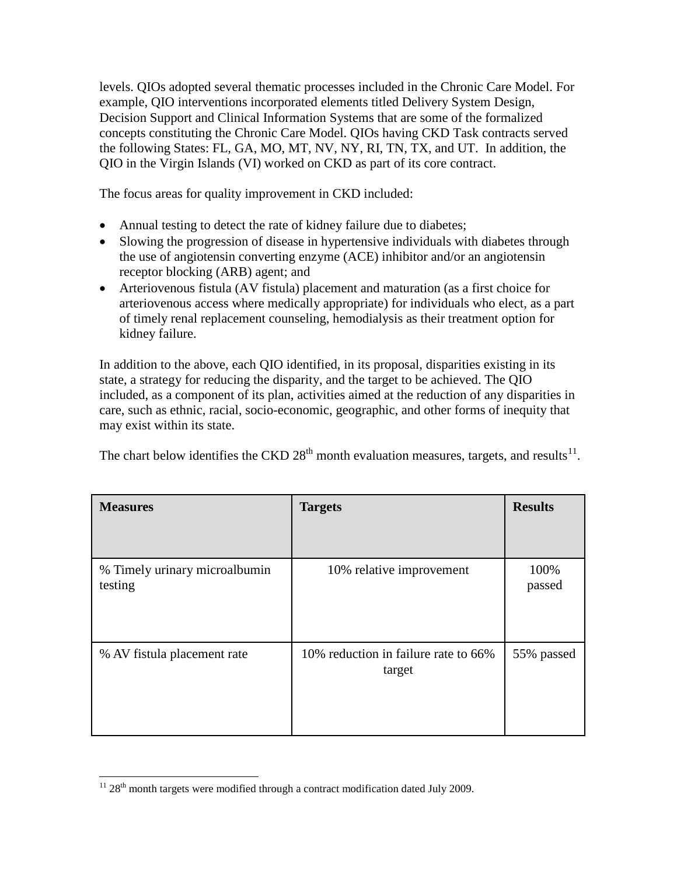levels. QIOs adopted several thematic processes included in the Chronic Care Model. For example, QIO interventions incorporated elements titled Delivery System Design, Decision Support and Clinical Information Systems that are some of the formalized concepts constituting the Chronic Care Model. QIOs having CKD Task contracts served the following States: FL, GA, MO, MT, NV, NY, RI, TN, TX, and UT. In addition, the QIO in the Virgin Islands (VI) worked on CKD as part of its core contract.

The focus areas for quality improvement in CKD included:

- Annual testing to detect the rate of kidney failure due to diabetes;
- Slowing the progression of disease in hypertensive individuals with diabetes through the use of angiotensin converting enzyme (ACE) inhibitor and/or an angiotensin receptor blocking (ARB) agent; and
- Arteriovenous fistula (AV fistula) placement and maturation (as a first choice for arteriovenous access where medically appropriate) for individuals who elect, as a part of timely renal replacement counseling, hemodialysis as their treatment option for kidney failure.

In addition to the above, each QIO identified, in its proposal, disparities existing in its state, a strategy for reducing the disparity, and the target to be achieved. The QIO included, as a component of its plan, activities aimed at the reduction of any disparities in care, such as ethnic, racial, socio-economic, geographic, and other forms of inequity that may exist within its state.

The chart below identifies the CKD  $28<sup>th</sup>$  month evaluation measures, targets, and results<sup>[11](#page-24-0)</sup>.

| <b>Measures</b>                          | <b>Targets</b>                                 | <b>Results</b> |
|------------------------------------------|------------------------------------------------|----------------|
|                                          |                                                |                |
| % Timely urinary microalbumin<br>testing | 10% relative improvement                       | 100%<br>passed |
| % AV fistula placement rate              | 10% reduction in failure rate to 66%<br>target | 55% passed     |

<span id="page-24-0"></span> $11$   $28$ <sup>th</sup> month targets were modified through a contract modification dated July 2009.  $\overline{a}$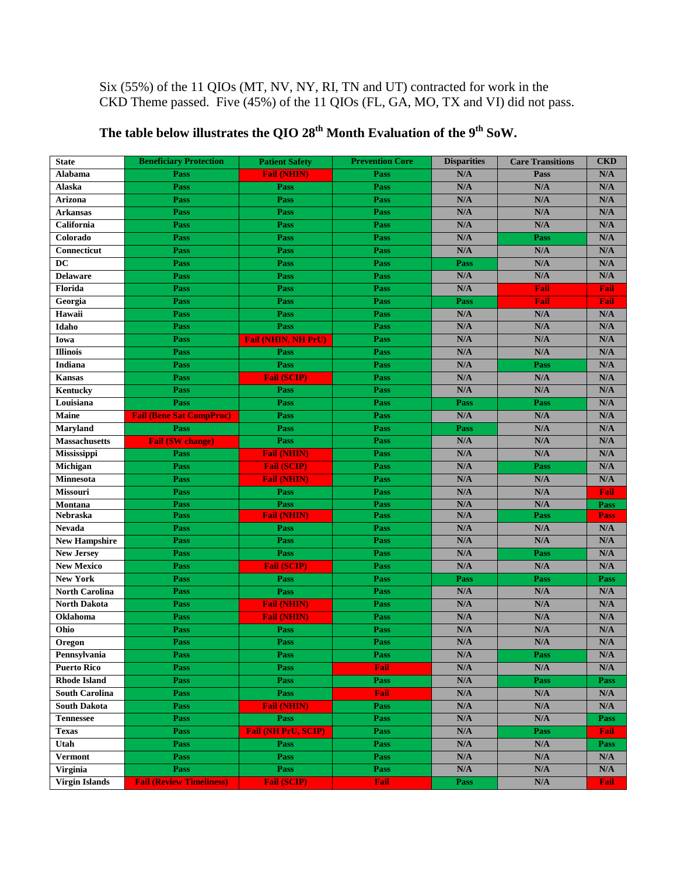# Six (55%) of the 11 QIOs (MT, NV, NY, RI, TN and UT) contracted for work in the CKD Theme passed. Five (45%) of the 11 QIOs (FL, GA, MO, TX and VI) did not pass.

| <b>State</b>          | <b>Beneficiary Protection</b>   | <b>Patient Safety</b>      | <b>Prevention Core</b> | <b>Disparities</b>      | <b>Care Transitions</b> | <b>CKD</b>              |
|-----------------------|---------------------------------|----------------------------|------------------------|-------------------------|-------------------------|-------------------------|
| Alabama               | Pass                            | <b>Fail (NHIN)</b>         | Pass                   | N/A                     | Pass                    | N/A                     |
| Alaska                | Pass                            | Pass                       | Pass                   | N/A                     | N/A                     | N/A                     |
| Arizona               | Pass                            | Pass                       | Pass                   | N/A                     | N/A                     | N/A                     |
| <b>Arkansas</b>       | Pass                            | Pass                       | Pass                   | N/A                     | N/A                     | N/A                     |
| California            | Pass                            | Pass                       | Pass                   | N/A                     | N/A                     | N/A                     |
| Colorado              | Pass                            | Pass                       | Pass                   | N/A                     | Pass                    | N/A                     |
| Connecticut           | Pass                            | Pass                       | Pass                   | N/A                     | N/A                     | $\mathbf{N}/\mathbf{A}$ |
| DC                    | Pass                            | Pass                       | Pass                   | Pass                    | N/A                     | $\mathbf{N}/\mathbf{A}$ |
| <b>Delaware</b>       | Pass                            | Pass                       | Pass                   | $\mathbf{N}/\mathbf{A}$ | N/A                     | N/A                     |
| Florida               | Pass                            | Pass                       | Pass                   | N/A                     | Fail                    | Fail                    |
| Georgia               | Pass                            | Pass                       | Pass                   | Pass                    | Fail                    | <b>Fail</b>             |
| Hawaii                | Pass                            | Pass                       | Pass                   | N/A                     | N/A                     | N/A                     |
| Idaho                 | Pass                            | Pass                       | Pass                   | N/A                     | N/A                     | N/A                     |
| Iowa                  | Pass                            | <b>Fail (NHIN, NH PrU)</b> | Pass                   | N/A                     | N/A                     | N/A                     |
| <b>Illinois</b>       | Pass                            | Pass                       | Pass                   | N/A                     | N/A                     | N/A                     |
| Indiana               | Pass                            | Pass                       | Pass                   | N/A                     | <b>Pass</b>             | N/A                     |
| <b>Kansas</b>         | Pass                            | <b>Fail (SCIP)</b>         | Pass                   | N/A                     | N/A                     | N/A                     |
| Kentucky              | Pass                            | Pass                       | Pass                   | N/A                     | N/A                     | N/A                     |
| Louisiana             | Pass                            | Pass                       | Pass                   | Pass                    | Pass                    | $\mathbf{N}/\mathbf{A}$ |
| Maine                 | <b>Fail (Bene Sat CompProc)</b> | <b>Pass</b>                | Pass                   | N/A                     | N/A                     | $\mathbf{N}/\mathbf{A}$ |
| <b>Maryland</b>       | Pass                            | Pass                       | Pass                   | Pass                    | N/A                     | $\mathbf{N}/\mathbf{A}$ |
| <b>Massachusetts</b>  | <b>Fail (SW change)</b>         | Pass                       | Pass                   | N/A                     | N/A                     | N/A                     |
| Mississippi           | Pass                            | <b>Fail (NHIN)</b>         | Pass                   | N/A                     | N/A                     | N/A                     |
| Michigan              | Pass                            | <b>Fail (SCIP)</b>         | Pass                   | N/A                     | Pass                    | N/A                     |
| Minnesota             | Pass                            | <b>Fail (NHIN)</b>         | Pass                   | N/A                     | N/A                     | N/A                     |
| Missouri              | Pass                            | Pass                       | Pass                   | N/A                     | N/A                     | Fail                    |
| Montana               | Pass                            | Pass                       | Pass                   | N/A                     | N/A                     | Pass                    |
| Nebraska              | Pass                            | <b>Fail (NHIN)</b>         | Pass                   | $\mathbf{N}/\mathbf{A}$ | Pass                    | <b>Pass</b>             |
| <b>Nevada</b>         | Pass                            | Pass                       | Pass                   | N/A                     | N/A                     | N/A                     |
| <b>New Hampshire</b>  | Pass                            | Pass                       | Pass                   | N/A                     | N/A                     | $\mathbf{N}/\mathbf{A}$ |
| <b>New Jersey</b>     | Pass                            | Pass                       | Pass                   | N/A                     | Pass                    | N/A                     |
| <b>New Mexico</b>     | Pass                            | <b>Fail (SCIP)</b>         | Pass                   | N/A                     | N/A                     | N/A                     |
| <b>New York</b>       | Pass                            | Pass                       | Pass                   | Pass                    | Pass                    | Pass                    |
| <b>North Carolina</b> | Pass                            | Pass                       | Pass                   | N/A                     | N/A                     | N/A                     |
| <b>North Dakota</b>   | Pass                            | <b>Fail (NHIN)</b>         | Pass                   | N/A                     | N/A                     | N/A                     |
| Oklahoma              | Pass                            | <b>Fail (NHIN)</b>         | Pass                   | N/A                     | N/A                     | N/A                     |
| Ohio                  | Pass                            | Pass                       | Pass                   | N/A                     | N/A                     | N/A                     |
| Oregon                | Pass                            | Pass                       | Pass                   | N/A                     | N/A                     | N/A                     |
| Pennsylvania          | Pass                            | Pass                       | Pass                   | N/A                     | Pass                    | N/A                     |
| <b>Puerto Rico</b>    | Pass                            | Pass                       | Fail                   | N/A                     | N/A                     | N/A                     |
| <b>Rhode Island</b>   | Pass                            | <b>Pass</b>                | Pass                   | $\mathbf{N}/\mathbf{A}$ | Pass                    | Pass                    |
| <b>South Carolina</b> | Pass                            | <b>Pass</b>                | Fail                   | $\mathbf{N}/\mathbf{A}$ | $\mathbf{N}/\mathbf{A}$ | N/A                     |
| <b>South Dakota</b>   | Pass                            | <b>Fail (NHIN)</b>         | Pass                   | N/A                     | N/A                     | N/A                     |
| <b>Tennessee</b>      | Pass                            | Pass                       | Pass                   | N/A                     | N/A                     | Pass                    |
| <b>Texas</b>          | Pass                            | <b>Fail (NH PrU, SCIP)</b> | Pass                   | $\mathbf{N}/\mathbf{A}$ | <b>Pass</b>             | <b>Fail</b>             |
| Utah                  | Pass                            | <b>Pass</b>                | Pass                   | N/A                     | N/A                     | Pass                    |
| <b>Vermont</b>        | Pass                            | <b>Pass</b>                | Pass                   | N/A                     | N/A                     | $\mathbf{N}/\mathbf{A}$ |
| <b>Virginia</b>       | Pass                            | Pass                       | Pass                   | $\mathbf{N}/\mathbf{A}$ | $\mathbf{N}/\mathbf{A}$ | $\mathbf{N}/\mathbf{A}$ |
| <b>Virgin Islands</b> | <b>Fail (Review Timeliness)</b> | <b>Fail (SCIP)</b>         | <b>Fail</b>            | Pass                    | $\mathbf{N}/\mathbf{A}$ | Fail                    |

# The table below illustrates the QIO 28<sup>th</sup> Month Evaluation of the 9<sup>th</sup> SoW.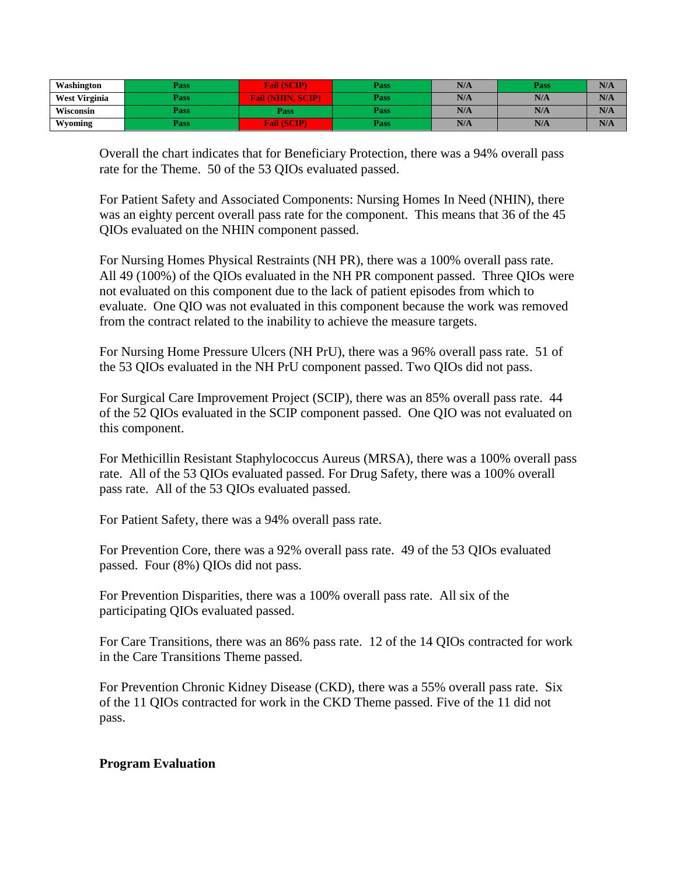| Washington           | Pass | (SCIP)<br>€ail                      | Pass        | N/A | Pass | N/A |
|----------------------|------|-------------------------------------|-------------|-----|------|-----|
| <b>West Virginia</b> | Pass | <b>SCIP</b><br>- (NHI)<br>Fail<br>ਢ | <b>Pass</b> | N/A | N/A  | N/A |
| Wisconsin            | Pass | Pass                                | Pass        | N/A | N/A  | N/A |
| Wyoming              | Pass | <b>Fail (SCIP)</b>                  | Pass        | N/A | N/A  | N/A |

Overall the chart indicates that for Beneficiary Protection, there was a 94% overall pass rate for the Theme. 50 of the 53 QIOs evaluated passed.

For Patient Safety and Associated Components: Nursing Homes In Need (NHIN), there was an eighty percent overall pass rate for the component. This means that 36 of the 45 QIOs evaluated on the NHIN component passed.

For Nursing Homes Physical Restraints (NH PR), there was a 100% overall pass rate. All 49 (100%) of the QIOs evaluated in the NH PR component passed. Three QIOs were not evaluated on this component due to the lack of patient episodes from which to evaluate. One QIO was not evaluated in this component because the work was removed from the contract related to the inability to achieve the measure targets.

For Nursing Home Pressure Ulcers (NH PrU), there was a 96% overall pass rate. 51 of the 53 QIOs evaluated in the NH PrU component passed. Two QIOs did not pass.

For Surgical Care Improvement Project (SCIP), there was an 85% overall pass rate. 44 of the 52 QIOs evaluated in the SCIP component passed. One QIO was not evaluated on this component.

For Methicillin Resistant Staphylococcus Aureus (MRSA), there was a 100% overall pass rate. All of the 53 QIOs evaluated passed. For Drug Safety, there was a 100% overall pass rate. All of the 53 QIOs evaluated passed.

For Patient Safety, there was a 94% overall pass rate.

For Prevention Core, there was a 92% overall pass rate. 49 of the 53 QIOs evaluated passed. Four (8%) QIOs did not pass.

For Prevention Disparities, there was a 100% overall pass rate. All six of the participating QIOs evaluated passed.

For Care Transitions, there was an 86% pass rate. 12 of the 14 QIOs contracted for work in the Care Transitions Theme passed.

For Prevention Chronic Kidney Disease (CKD), there was a 55% overall pass rate. Six of the 11 QIOs contracted for work in the CKD Theme passed. Five of the 11 did not pass.

## **Program Evaluation**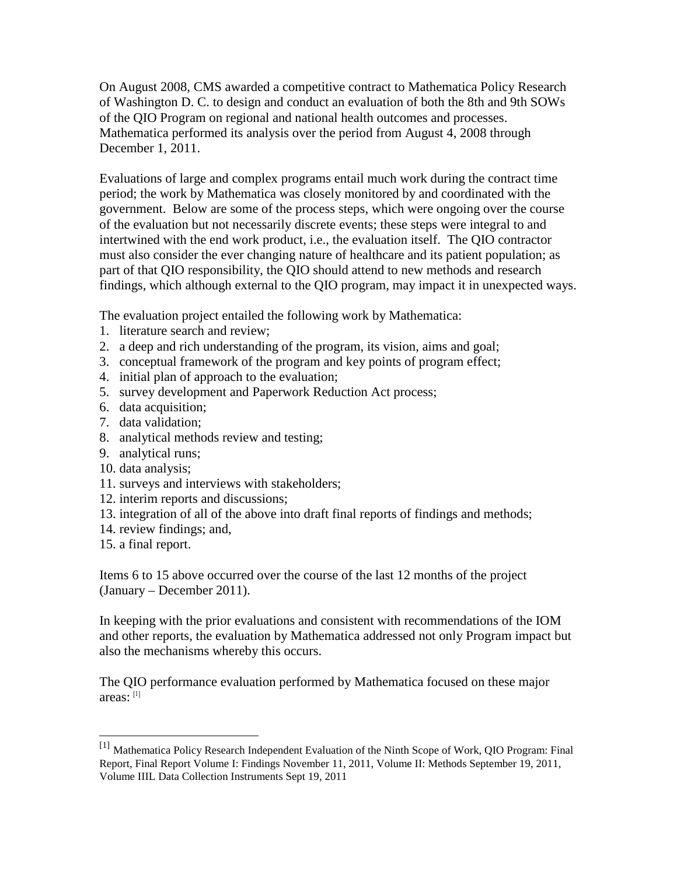On August 2008, CMS awarded a competitive contract to Mathematica Policy Research of Washington D. C. to design and conduct an evaluation of both the 8th and 9th SOWs of the QIO Program on regional and national health outcomes and processes. Mathematica performed its analysis over the period from August 4, 2008 through December 1, 2011.

Evaluations of large and complex programs entail much work during the contract time period; the work by Mathematica was closely monitored by and coordinated with the government. Below are some of the process steps, which were ongoing over the course of the evaluation but not necessarily discrete events; these steps were integral to and intertwined with the end work product, i.e., the evaluation itself. The QIO contractor must also consider the ever changing nature of healthcare and its patient population; as part of that QIO responsibility, the QIO should attend to new methods and research findings, which although external to the QIO program, may impact it in unexpected ways.

The evaluation project entailed the following work by Mathematica:

- 1. literature search and review;
- 2. a deep and rich understanding of the program, its vision, aims and goal;
- 3. conceptual framework of the program and key points of program effect;
- 4. initial plan of approach to the evaluation;
- 5. survey development and Paperwork Reduction Act process;
- 6. data acquisition;
- 7. data validation;
- 8. analytical methods review and testing;
- 9. analytical runs;
- 10. data analysis;
- 11. surveys and interviews with stakeholders;
- 12. interim reports and discussions;
- 13. integration of all of the above into draft final reports of findings and methods;
- 14. review findings; and,
- 15. a final report.

 $\ddot{\phantom{a}}$ 

Items 6 to 15 above occurred over the course of the last 12 months of the project (January – December 2011).

In keeping with the prior evaluations and consistent with recommendations of the IOM and other reports, the evaluation by Mathematica addressed not only Program impact but also the mechanisms whereby this occurs.

The QIO performance evaluation performed by Mathematica focused on these major areas: [\[1\]](#page-27-0)

<span id="page-27-0"></span><sup>[1]</sup> Mathematica Policy Research Independent Evaluation of the Ninth Scope of Work, QIO Program: Final Report, Final Report Volume I: Findings November 11, 2011, Volume II: Methods September 19, 2011, Volume IIIL Data Collection Instruments Sept 19, 2011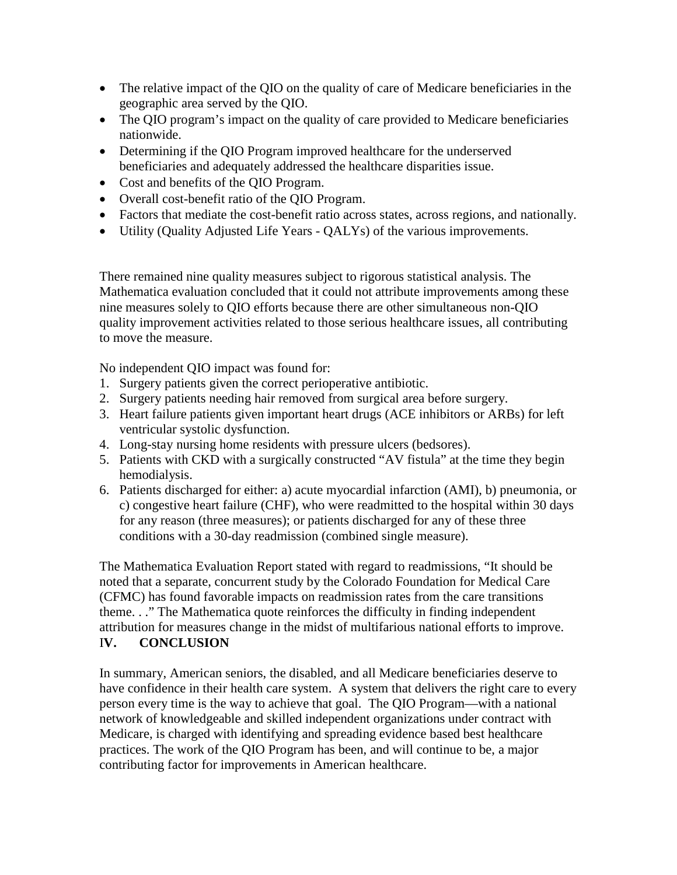- The relative impact of the QIO on the quality of care of Medicare beneficiaries in the geographic area served by the QIO.
- The QIO program's impact on the quality of care provided to Medicare beneficiaries nationwide.
- Determining if the QIO Program improved healthcare for the underserved beneficiaries and adequately addressed the healthcare disparities issue.
- Cost and benefits of the QIO Program.
- Overall cost-benefit ratio of the QIO Program.
- Factors that mediate the cost-benefit ratio across states, across regions, and nationally.
- Utility (Quality Adjusted Life Years QALYs) of the various improvements.

There remained nine quality measures subject to rigorous statistical analysis. The Mathematica evaluation concluded that it could not attribute improvements among these nine measures solely to QIO efforts because there are other simultaneous non-QIO quality improvement activities related to those serious healthcare issues, all contributing to move the measure.

No independent QIO impact was found for:

- 1. Surgery patients given the correct perioperative antibiotic.
- 2. Surgery patients needing hair removed from surgical area before surgery.
- 3. Heart failure patients given important heart drugs (ACE inhibitors or ARBs) for left ventricular systolic dysfunction.
- 4. Long-stay nursing home residents with pressure ulcers (bedsores).
- 5. Patients with CKD with a surgically constructed "AV fistula" at the time they begin hemodialysis.
- 6. Patients discharged for either: a) acute myocardial infarction (AMI), b) pneumonia, or c) congestive heart failure (CHF), who were readmitted to the hospital within 30 days for any reason (three measures); or patients discharged for any of these three conditions with a 30-day readmission (combined single measure).

The Mathematica Evaluation Report stated with regard to readmissions, "It should be noted that a separate, concurrent study by the Colorado Foundation for Medical Care (CFMC) has found favorable impacts on readmission rates from the care transitions theme. . ." The Mathematica quote reinforces the difficulty in finding independent attribution for measures change in the midst of multifarious national efforts to improve. I**V. CONCLUSION**

In summary, American seniors, the disabled, and all Medicare beneficiaries deserve to have confidence in their health care system. A system that delivers the right care to every person every time is the way to achieve that goal. The QIO Program—with a national network of knowledgeable and skilled independent organizations under contract with Medicare, is charged with identifying and spreading evidence based best healthcare practices. The work of the QIO Program has been, and will continue to be, a major contributing factor for improvements in American healthcare.